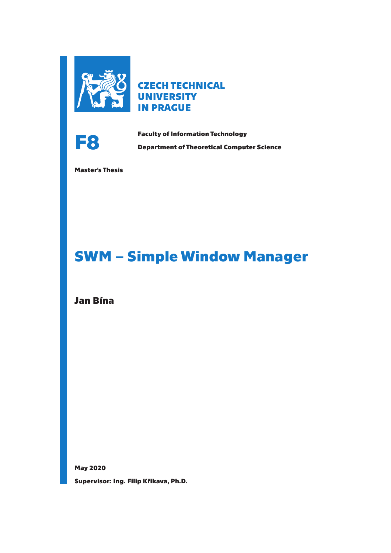

**CZECH TECHNICAL UNIVERSITY IN PRAGUE**



**Faculty of Information Technology<br>
Department of Theoretical Computer Science** 

**Master's Thesis**

# **SWM – Simple Window Manager**

**Jan Bína**

**May 2020 Supervisor: Ing. Filip Křikava, Ph.D.**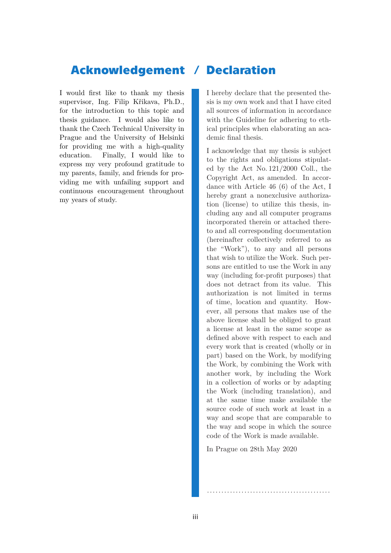# **Acknowledgement / Declaration**

I would first like to thank my thesis supervisor, Ing. Filip Křikava, Ph.D., for the introduction to this topic and thesis guidance. I would also like to thank the Czech Technical University in Prague and the University of Helsinki for providing me with a high-quality education. Finally, I would like to express my very profound gratitude to my parents, family, and friends for providing me with unfailing support and continuous encouragement throughout my years of study.

I hereby declare that the presented thesis is my own work and that I have cited all sources of information in accordance with the Guideline for adhering to ethical principles when elaborating an academic final thesis.

I acknowledge that my thesis is subject to the rights and obligations stipulated by the Act No. 121/2000 Coll., the Copyright Act, as amended. In accordance with Article 46 (6) of the Act, I hereby grant a nonexclusive authorization (license) to utilize this thesis, including any and all computer programs incorporated therein or attached thereto and all corresponding documentation (hereinafter collectively referred to as the "Work"), to any and all persons that wish to utilize the Work. Such persons are entitled to use the Work in any way (including for-profit purposes) that does not detract from its value. This authorization is not limited in terms of time, location and quantity. However, all persons that makes use of the above license shall be obliged to grant a license at least in the same scope as defined above with respect to each and every work that is created (wholly or in part) based on the Work, by modifying the Work, by combining the Work with another work, by including the Work in a collection of works or by adapting the Work (including translation), and at the same time make available the source code of such work at least in a way and scope that are comparable to the way and scope in which the source code of the Work is made available.

In Prague on 28th May 2020

...........................................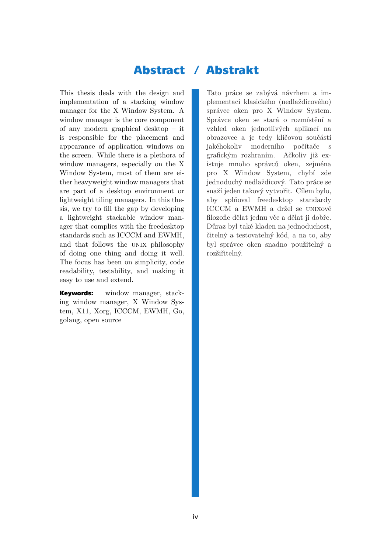# **Abstract / Abstrakt**

This thesis deals with the design and implementation of a stacking window manager for the X Window System. A window manager is the core component of any modern graphical desktop – it is responsible for the placement and appearance of application windows on the screen. While there is a plethora of window managers, especially on the X Window System, most of them are either heavyweight window managers that are part of a desktop environment or lightweight tiling managers. In this thesis, we try to fill the gap by developing a lightweight stackable window manager that complies with the freedesktop standards such as ICCCM and EWMH, and that follows the unix philosophy of doing one thing and doing it well. The focus has been on simplicity, code readability, testability, and making it easy to use and extend.

**Keywords:** window manager, stacking window manager, X Window System, X11, Xorg, ICCCM, EWMH, Go, golang, open source

Tato práce se zabývá návrhem a implementací klasického (nedlaždicového) správce oken pro X Window System. Správce oken se stará o rozmístění a vzhled oken jednotlivých aplikací na obrazovce a je tedy klíčovou součástí jakéhokoliv moderního počítače s grafickým rozhraním. Ačkoliv již existuje mnoho správců oken, zejména pro X Window System, chybí zde jednoduchý nedlaždicový. Tato práce se snaží jeden takový vytvořit. Cílem bylo, aby splňoval freedesktop standardy ICCCM a EWMH a držel se unixové filozofie dělat jednu věc a dělat ji dobře. Důraz byl také kladen na jednoduchost, čitelný a testovatelný kód, a na to, aby byl správce oken snadno použitelný a rozšiřitelný.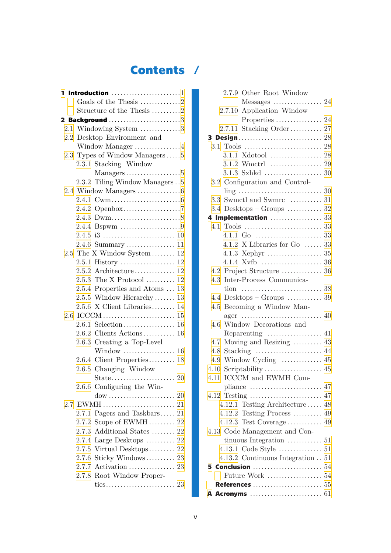# **Contents /**

|  | 1 Introduction 1                                             |
|--|--------------------------------------------------------------|
|  | Goals of the Thesis 2                                        |
|  | Structure of the Thesis 2                                    |
|  | 2 Background 3                                               |
|  | 2.1 Windowing System 3                                       |
|  | 2.2 Desktop Environment and                                  |
|  | Window Manager $\dots\dots\dots\dots\dots4$                  |
|  | 2.3 Types of Window Managers5                                |
|  | 2.3.1 Stacking Window                                        |
|  |                                                              |
|  | 2.3.2 Tiling Window Managers5                                |
|  |                                                              |
|  |                                                              |
|  |                                                              |
|  |                                                              |
|  |                                                              |
|  |                                                              |
|  | $2.4.6$ Summary<br>11                                        |
|  | 2.5 The X Window System<br>12                                |
|  | $2.5.1$ History<br>12                                        |
|  | $2.5.2$ Architecture<br>12                                   |
|  | 2.5.3 The X Protocol<br>12                                   |
|  | 2.5.4 Properties and Atoms $\dots$<br>13                     |
|  | $2.5.5$ Window Hierarchy<br>13                               |
|  | $2.5.6$ X Client Libraries<br>14                             |
|  | 2.6 ICCCM<br>15                                              |
|  | $2.6.1$ Selection<br>16                                      |
|  | $2.6.2$ Clients Actions<br>16                                |
|  | 2.6.3 Creating a Top-Level                                   |
|  | Window  16                                                   |
|  | 2.6.4 Client Properties<br>18                                |
|  | 2.6.5 Changing Window                                        |
|  |                                                              |
|  | 2.6.6 Configuring the Win-                                   |
|  | $\text{dow}\ldots\ldots\ldots\ldots\ldots\ldots\ldots$<br>20 |
|  |                                                              |
|  | 2.7.1 Pagers and Taskbars 21                                 |
|  | 2.7.2 Scope of EWMH 22                                       |
|  | $2.7.3$ Additional States  22                                |
|  | $2.7.4$ Large Desktops  22                                   |
|  | 2.7.5 Virtual Desktops<br>22                                 |
|  | 23<br>$2.7.6$ Sticky Windows                                 |
|  | $2.7.7$ Activation<br>23<br>2.7.8 Root Window Proper-        |
|  | 23                                                           |
|  | ties                                                         |

| 2.7.9 Other Root Window                                               |    |
|-----------------------------------------------------------------------|----|
|                                                                       |    |
| 2.7.10 Application Window                                             |    |
| Properties  24                                                        |    |
| 2.7.11 Stacking Order 27                                              |    |
| 3 Design                                                              | 28 |
|                                                                       | 28 |
| $3.1.1$ Xdotool                                                       | 28 |
|                                                                       |    |
|                                                                       |    |
| 3.2 Configuration and Control-                                        |    |
|                                                                       | 30 |
| 3.3 Swmctl and Swmrc  31                                              |    |
| $3.4$ Desktops – Groups                                               | 32 |
| 4 Implementation                                                      | 33 |
|                                                                       |    |
|                                                                       |    |
| 4.1.2 X Libraries for Go $\ldots$ 33                                  |    |
|                                                                       |    |
|                                                                       |    |
|                                                                       |    |
| Inter-Process Communica-<br>4.3                                       |    |
|                                                                       |    |
| $4.4$ Desktops – Groups  39                                           |    |
| Becoming a Window Man-<br>4.5                                         |    |
|                                                                       |    |
| Window Decorations and<br>4.6                                         |    |
|                                                                       |    |
| Moving and Resizing  43<br>4.7                                        |    |
| Stacking $\ldots \ldots \ldots \ldots \ldots \ldots \ldots$ 44<br>4.8 |    |
| 4.9 Window Cycling  45                                                |    |
| 4.10                                                                  |    |
| ICCCM and EWMH Com-<br>4.11                                           |    |
| pliance                                                               | 47 |
|                                                                       |    |
| 4.12.1 Testing Architecture  48                                       |    |
| $4.12.2$ Testing Process  49                                          |    |
|                                                                       |    |
| 4.13 Code Management and Con-                                         |    |
|                                                                       |    |
| 4.13.1 Code Style  51                                                 |    |
| 4.13.2 Continuous Integration  51                                     |    |
|                                                                       |    |
|                                                                       |    |
|                                                                       |    |
|                                                                       |    |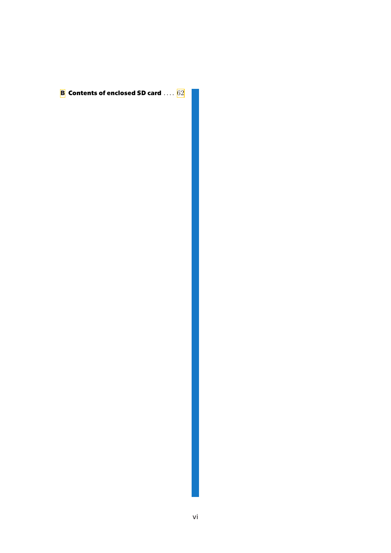**[B](#page-69-0) Contents of enclosed SD card** .... [62](#page-69-1)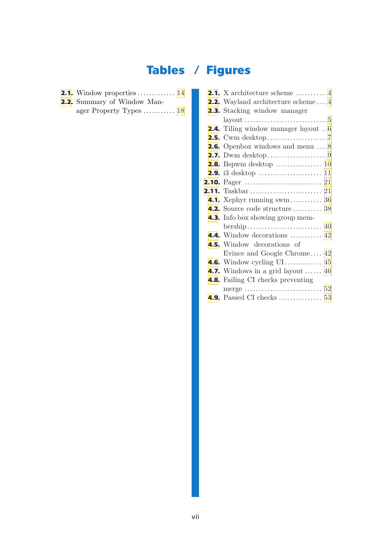# **Tables / Figures**

- **[2.1](#page-21-2).** Window properties ............. [14](#page-21-1)
- **[2.2](#page-25-2).** Summary of Window Manager Property Types ........... [18](#page-25-1)

| <b>2.1.</b> X architecture scheme $\dots\dots\dots4$ |
|------------------------------------------------------|
| <b>2.2.</b> Wayland architecture scheme $4$          |
| <b>2.3.</b> Stacking window manager                  |
|                                                      |
| <b>2.4.</b> Tiling window manager layout 6           |
|                                                      |
| <b>2.6.</b> Openbox windows and menu $\dots 8$       |
|                                                      |
|                                                      |
|                                                      |
|                                                      |
|                                                      |
| <b>4.1.</b> Xephyr running swm 36                    |
| <b>4.2.</b> Source code structure  38                |
| <b>4.3.</b> Info box showing group mem-              |
|                                                      |
| <b>4.4.</b> Window decorations  42                   |
| <b>4.5.</b> Window decorations of                    |
| Evince and Google Chrome 42                          |
| <b>4.6.</b> Window cycling UI 45                     |
| <b>4.7.</b> Windows in a grid layout  46             |
| <b>4.8.</b> Failing CI checks preventing             |
|                                                      |
| <b>4.9.</b> Passed CI checks  53                     |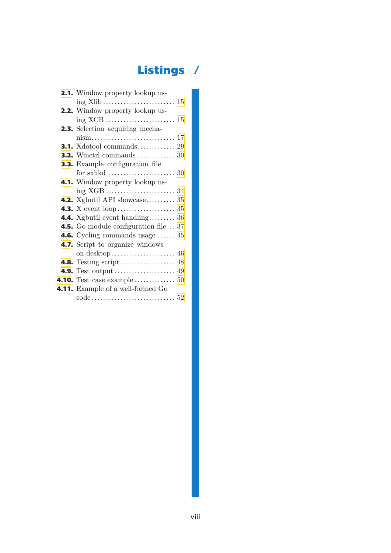# **Listings /**

| <b>2.1.</b> Window property lookup us-        |
|-----------------------------------------------|
|                                               |
| <b>2.2.</b> Window property lookup us-        |
|                                               |
| <b>2.3.</b> Selection acquiring mecha-        |
|                                               |
| <b>3.1.</b> Xdotool commands 29               |
| <b>3.2.</b> Wmctrl commands  30               |
| <b>3.3.</b> Example configuration file        |
|                                               |
| 4.1. Window property lookup us-               |
|                                               |
| <b>4.2.</b> Xgbutil API showcase 35           |
|                                               |
| <b>4.4.</b> Xgbutil event handling 36         |
| <b>4.5.</b> Go module configuration file  37  |
| <b>4.6.</b> Cycling commands usage $\dots$ 45 |
| 4.7. Script to organize windows               |
|                                               |
|                                               |
|                                               |
|                                               |
| 4.11. Example of a well-formed Go             |
|                                               |
|                                               |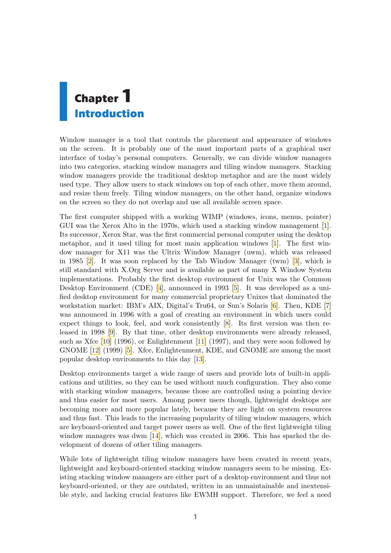# <span id="page-8-1"></span><span id="page-8-0"></span>**Chapter1 Introduction**

Window manager is a tool that controls the placement and appearance of windows on the screen. It is probably one of the most important parts of a graphical user interface of today's personal computers. Generally, we can divide window managers into two categories, stacking window managers and tiling window managers. Stacking window managers provide the traditional desktop metaphor and are the most widely used type. They allow users to stack windows on top of each other, move them around, and resize them freely. Tiling window managers, on the other hand, organize windows on the screen so they do not overlap and use all available screen space.

The first computer shipped with a working WIMP (windows, icons, menus, pointer) GUI was the Xerox Alto in the 1970s, which used a stacking window management[[1](#page-62-1)]. Its successor, Xerox Star, was the first commercial personal computer using the desktop metaphor, and it used tiling for most main application windows [\[1\]](#page-62-1). The first window manager for X11 was the Ultrix Window Manager (uwm), which was released in 1985 [\[2\]](#page-62-2). It was soon replaced by the Tab Window Manager (twm) [\[3\]](#page-62-3), which is still standard with X.Org Server and is available as part of many X Window System implementations. Probably the first desktop environment for Unix was the Common Desktop Environment (CDE)[[4](#page-62-4)], announced in 1993[[5](#page-62-5)]. It was developed as a unified desktop environment for many commercial proprietary Unixes that dominated the workstation market: IBM's AIX, Digital's Tru64, or Sun's Solaris [\[6\]](#page-62-6). Then, KDE [\[7\]](#page-62-7) was announced in 1996 with a goal of creating an environment in which users could expect things to look, feel, and work consistently [\[8\]](#page-62-8). Its first version was then released in 1998 [\[9\]](#page-62-9). By that time, other desktop environments were already released, such as Xfce [\[10](#page-62-10)] (1996), or Enlightenment[[11\]](#page-62-11) (1997), and they were soon followed by GNOME[[12\]](#page-62-12) (1999) [\[5\]](#page-62-5). Xfce, Enlightenment, KDE, and GNOME are among the most popular desktop environments to this day[[13\]](#page-62-13).

Desktop environments target a wide range of users and provide lots of built-in applications and utilities, so they can be used without much configuration. They also come with stacking window managers, because those are controlled using a pointing device and thus easier for most users. Among power users though, lightweight desktops are becoming more and more popular lately, because they are light on system resources and thus fast. This leads to the increasing popularity of tiling window managers, which are keyboard-oriented and target power users as well. One of the first lightweight tiling windowmanagers was dwm [[14\]](#page-62-14), which was created in 2006. This has sparked the development of dozens of other tiling managers.

While lots of lightweight tiling window managers have been created in recent years, lightweight and keyboard-oriented stacking window managers seem to be missing. Existing stacking window managers are either part of a desktop environment and thus not keyboard-oriented, or they are outdated, written in an unmaintainable and inextensible style, and lacking crucial features like EWMH support. Therefore, we feel a need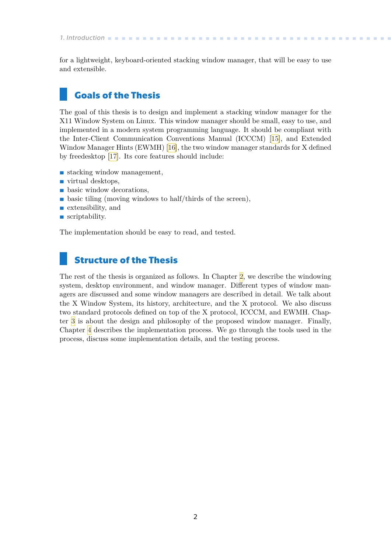<span id="page-9-0"></span>*1. Introduction* **..........................................**

for a lightweight, keyboard-oriented stacking window manager, that will be easy to use and extensible.

# **Goals of the Thesis**

The goal of this thesis is to design and implement a stacking window manager for the X11 Window System on Linux. This window manager should be small, easy to use, and implemented in a modern system programming language. It should be compliant with the Inter-Client Communication Conventions Manual (ICCCM) [\[15](#page-62-15)], and Extended Window Manager Hints (EWMH) [\[16](#page-63-0)], the two window manager standards for X defined by freedesktop[[17\]](#page-63-1). Its core features should include:

- stacking window management,  $\blacksquare$  stacking window  $\blacksquare$  virtual desktops,
- 
- **.** virtual desktops,<br>**.** basic window decorations,
- $\blacksquare$  basic window decorations,<br> $\blacksquare$  basic tiling (moving windows to half/thirds of the screen), **.** extensibility, and
- **.** extensibility, and **.** scriptability.
- 

The implementation should be easy to read, and tested.

# **Structure of the Thesis**

The rest of the thesis is organized as follows. In Chapter [2](#page-10-0), we describe the windowing system, desktop environment, and window manager. Different types of window managers are discussed and some window managers are described in detail. We talk about the X Window System, its history, architecture, and the X protocol. We also discuss two standard protocols defined on top of the X protocol, ICCCM, and EWMH. Chapter [3](#page-35-0) is about the design and philosophy of the proposed window manager. Finally, Chapter [4](#page-40-0) describes the implementation process. We go through the tools used in the process, discuss some implementation details, and the testing process.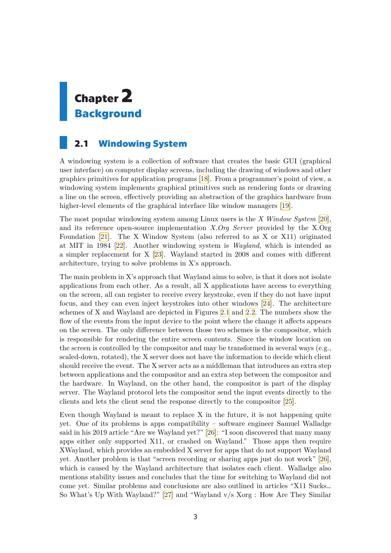# <span id="page-10-1"></span><span id="page-10-0"></span>**Chapter2 Background**

# <span id="page-10-2"></span>**2.1 Windowing System**

A windowing system is a collection of software that creates the basic GUI (graphical user interface) on computer display screens, including the drawing of windows and other graphics primitives for application programs[[18\]](#page-63-2). From a programmer's point of view, a windowing system implements graphical primitives such as rendering fonts or drawing a line on the screen, effectively providing an abstraction of the graphics hardware from higher-level elements of the graphical interface like window managers [\[19](#page-63-3)].

The most popular windowing system among Linux users is the *X Window System* [[20](#page-63-4)], and its reference open-source implementation *X.Org Server* provided by the X.Org Foundation [\[21](#page-63-5)]. The X Window System (also referred to as X or X11) originated at MIT in 1984[[22\]](#page-63-6). Another windowing system is *Wayland*, which is intended as a simpler replacement for X [\[23](#page-63-7)]. Wayland started in 2008 and comes with different architecture, trying to solve problems in X's approach.

The main problem in X's approach that Wayland aims to solve, is that it does not isolate applications from each other. As a result, all X applications have access to everything on the screen, all can register to receive every keystroke, even if they do not have input focus, and they can even inject keystrokes into other windows[[24\]](#page-63-8). The architecture schemes of X and Wayland are depicted in Figures [2.1](#page-11-2) and [2.2](#page-11-3). The numbers show the flow of the events from the input device to the point where the change it affects appears on the screen. The only difference between those two schemes is the compositor, which is responsible for rendering the entire screen contents. Since the window location on the screen is controlled by the compositor and may be transformed in several ways (e.g., scaled-down, rotated), the X server does not have the information to decide which client should receive the event. The X server acts as a middleman that introduces an extra step between applications and the compositor and an extra step between the compositor and the hardware. In Wayland, on the other hand, the compositor is part of the display server. The Wayland protocol lets the compositor send the input events directly to the clients and lets the client send the response directly to the compositor [\[25](#page-63-9)].

Even though Wayland is meant to replace X in the future, it is not happening quite yet. One of its problems is apps compatibility – software engineer Samuel Walladge said in his 2019 article "Are we Wayland yet?"[[26\]](#page-63-10): "I soon discovered that many many apps either only supported X11, or crashed on Wayland." Those apps then require XWayland, which provides an embedded X server for apps that do not support Wayland yet. Another problem is that "screen recording or sharing apps just do not work"[[26](#page-63-10)], which is caused by the Wayland architecture that isolates each client. Walladge also mentions stability issues and concludes that the time for switching to Wayland did not come yet. Similar problems and conclusions are also outlined in articles "X11 Sucks… So What's Up With Wayland?" [\[27](#page-63-11)] and "Wayland v/s Xorg : How Are They Similar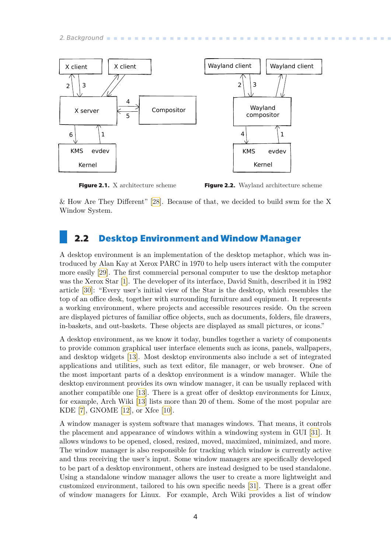<span id="page-11-1"></span>

<span id="page-11-2"></span>**Figure 2.1.** X architecture scheme

<span id="page-11-3"></span>**Figure 2.2.** Wayland architecture scheme

& How Are They Different" [\[28](#page-63-12)]. Because of that, we decided to build swm for the X Window System.

## <span id="page-11-0"></span>**2.2 Desktop Environment and Window Manager**

A desktop environment is an implementation of the desktop metaphor, which was introduced by Alan Kay at Xerox PARC in 1970 to help users interact with the computer more easily [\[29](#page-63-13)]. The first commercial personal computer to use the desktop metaphor was the Xerox Star[[1](#page-62-1)]. The developer of its interface, David Smith, described it in 1982 article[[30\]](#page-63-14): "Every user's initial view of the Star is the desktop, which resembles the top of an office desk, together with surrounding furniture and equipment. It represents a working environment, where projects and accessible resources reside. On the screen are displayed pictures of familiar office objects, such as documents, folders, file drawers, in-baskets, and out-baskets. These objects are displayed as small pictures, or icons."

A desktop environment, as we know it today, bundles together a variety of components to provide common graphical user interface elements such as icons, panels, wallpapers, and desktop widgets [\[13](#page-62-13)]. Most desktop environments also include a set of integrated applications and utilities, such as text editor, file manager, or web browser. One of the most important parts of a desktop environment is a window manager. While the desktop environment provides its own window manager, it can be usually replaced with another compatible one [\[13](#page-62-13)]. There is a great offer of desktop environments for Linux, for example, Arch Wiki[[13\]](#page-62-13) lists more than 20 of them. Some of the most popular are KDE[[7](#page-62-7)], GNOME[[12\]](#page-62-12), or Xfce[[10\]](#page-62-10).

A window manager is system software that manages windows. That means, it controls the placement and appearance of windows within a windowing system in GUI[[31\]](#page-63-15). It allows windows to be opened, closed, resized, moved, maximized, minimized, and more. The window manager is also responsible for tracking which window is currently active and thus receiving the user's input. Some window managers are specifically developed to be part of a desktop environment, others are instead designed to be used standalone. Using a standalone window manager allows the user to create a more lightweight and customized environment, tailored to his own specific needs [\[31](#page-63-15)]. There is a great offer of window managers for Linux. For example, Arch Wiki provides a list of window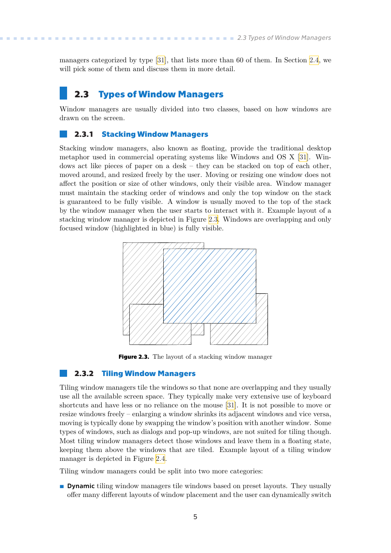<span id="page-12-1"></span>managers categorized by type[[31\]](#page-63-15), that lists more than 60 of them. In Section [2.4](#page-13-0), we will pick some of them and discuss them in more detail.

## <span id="page-12-0"></span>**2.3 Types of Window Managers**

Window managers are usually divided into two classes, based on how windows are drawn on the screen.

#### <span id="page-12-2"></span>**2.3.1 Stacking Window Managers**

Stacking window managers, also known as floating, provide the traditional desktop metaphor used in commercial operating systems like Windows and OS X [\[31](#page-63-15)]. Windows act like pieces of paper on a desk – they can be stacked on top of each other, moved around, and resized freely by the user. Moving or resizing one window does not affect the position or size of other windows, only their visible area. Window manager must maintain the stacking order of windows and only the top window on the stack is guaranteed to be fully visible. A window is usually moved to the top of the stack by the window manager when the user starts to interact with it. Example layout of a stacking window manager is depicted in Figure [2.3.](#page-12-4) Windows are overlapping and only focused window (highlighted in blue) is fully visible.



<span id="page-12-4"></span>**Figure 2.3.** The layout of a stacking window manager

#### <span id="page-12-3"></span>**2.3.2 Tiling Window Managers**

Tiling window managers tile the windows so that none are overlapping and they usually use all the available screen space. They typically make very extensive use of keyboard shortcuts and have less or no reliance on the mouse [\[31](#page-63-15)]. It is not possible to move or resize windows freely – enlarging a window shrinks its adjacent windows and vice versa, moving is typically done by swapping the window's position with another window. Some types of windows, such as dialogs and pop-up windows, are not suited for tiling though. Most tiling window managers detect those windows and leave them in a floating state, keeping them above the windows that are tiled. Example layout of a tiling window manager is depicted in Figure [2.4](#page-13-3).

Tiling window managers could be split into two more categories:

**.** Dynamic tiling window managers tile windows based on preset layouts. They usually offer many different layouts of window placement and the user can dynamically switch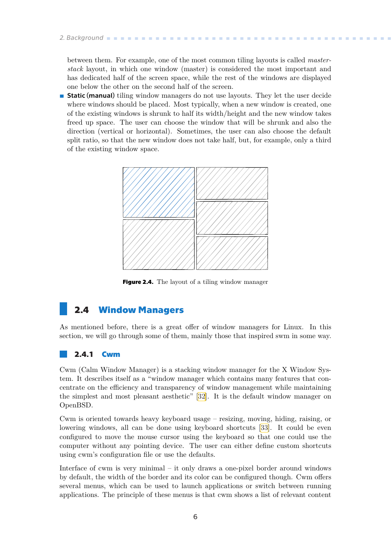<span id="page-13-1"></span>*2. Background* **. . . . . . . . . . . . . . . . . . . . . . . . . . . . . . . . . . . . . . . . . .**

between them. For example, one of the most common tiling layouts is called *masterstack* layout, in which one window (master) is considered the most important and has dedicated half of the screen space, while the rest of the windows are displayed one below the other on the second half of the screen.

**.** Static (manual) tiling window managers do not use layouts. They let the user decide where windows should be placed. Most typically, when a new window is created, one of the existing windows is shrunk to half its width/height and the new window takes freed up space. The user can choose the window that will be shrunk and also the direction (vertical or horizontal). Sometimes, the user can also choose the default split ratio, so that the new window does not take half, but, for example, only a third of the existing window space.



<span id="page-13-3"></span>**Figure 2.4.** The layout of a tiling window manager

# <span id="page-13-0"></span>**2.4 Window Managers**

As mentioned before, there is a great offer of window managers for Linux. In this section, we will go through some of them, mainly those that inspired swm in some way.

#### <span id="page-13-2"></span>**2.4.1 Cwm**

Cwm (Calm Window Manager) is a stacking window manager for the X Window System. It describes itself as a "window manager which contains many features that concentrate on the efficiency and transparency of window management while maintaining the simplest and most pleasant aesthetic"[[32\]](#page-63-16). It is the default window manager on OpenBSD.

Cwm is oriented towards heavy keyboard usage – resizing, moving, hiding, raising, or lowering windows, all can be done using keyboard shortcuts [\[33](#page-63-17)]. It could be even configured to move the mouse cursor using the keyboard so that one could use the computer without any pointing device. The user can either define custom shortcuts using cwm's configuration file or use the defaults.

Interface of cwm is very minimal – it only draws a one-pixel border around windows by default, the width of the border and its color can be configured though. Cwm offers several menus, which can be used to launch applications or switch between running applications. The principle of these menus is that cwm shows a list of relevant content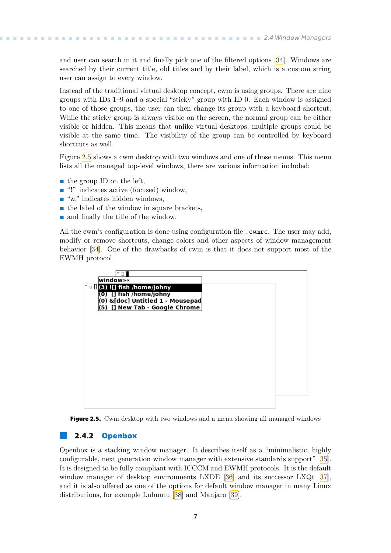<span id="page-14-1"></span>and user can search in it and finally pick one of the filtered options [\[34](#page-64-0)]. Windows are searched by their current title, old titles and by their label, which is a custom string user can assign to every window.

Instead of the traditional virtual desktop concept, cwm is using groups. There are nine groups with IDs 1–9 and a special "sticky" group with ID 0. Each window is assigned to one of those groups, the user can then change its group with a keyboard shortcut. While the sticky group is always visible on the screen, the normal group can be either visible or hidden. This means that unlike virtual desktops, multiple groups could be visible at the same time. The visibility of the group can be controlled by keyboard shortcuts as well.

Figure [2.5](#page-14-2) shows a cwm desktop with two windows and one of those menus. This menu lists all the managed top-level windows, there are various information included:

- the group **ID** on the left,
- $\blacksquare$  the group ID on the left,  $\blacksquare$  <br>"!" indicates active (focused) window,  $\blacksquare$  <br>"imdicates active (focused) v $\blacksquare$  <br>"&" indicates hidden windows,
- 
- $\bullet$  "&" indicates hidden windows,<br>  $\bullet$  the label of the window in square brackets,
- **.** and finally the title of the window.

All the cwm's configuration is done using configuration file . cwmrc. The user may add, modify or remove shortcuts, change colors and other aspects of window management behavior [\[34](#page-64-0)]. One of the drawbacks of cwm is that it does not support most of the EWMH protocol.



<span id="page-14-2"></span>

#### <span id="page-14-0"></span>**2.4.2 Openbox**

Openbox is a stacking window manager. It describes itself as a "minimalistic, highly configurable, next generation window manager with extensive standards support"[[35](#page-64-1)]. It is designed to be fully compliant with ICCCM and EWMH protocols. It is the default window manager of desktop environments LXDE [\[36](#page-64-2)]and its successor LXQt [[37](#page-64-3)], and it is also offered as one of the options for default window manager in many Linux distributions, for example Lubuntu[[38](#page-64-4)] and Manjaro [\[39](#page-64-5)].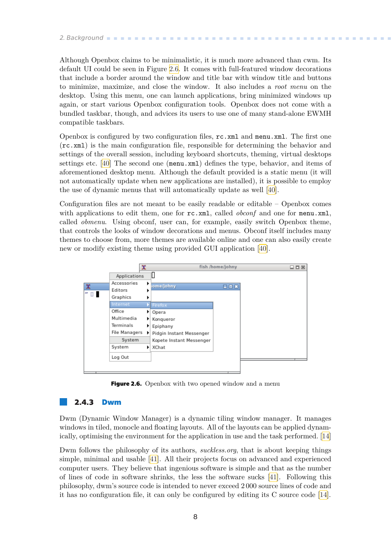# <span id="page-15-1"></span>*2. Background* **. . . . . . . . . . . . . . . . . . . . . . . . . . . . . . . . . . . . . . . . . .**

Although Openbox claims to be minimalistic, it is much more advanced than cwm. Its default UI could be seen in Figure [2.6.](#page-15-2) It comes with full-featured window decorations that include a border around the window and title bar with window title and buttons to minimize, maximize, and close the window. It also includes a *root menu* on the desktop. Using this menu, one can launch applications, bring minimized windows up again, or start various Openbox configuration tools. Openbox does not come with a bundled taskbar, though, and advices its users to use one of many stand-alone EWMH compatible taskbars.

Openbox is configured by two configuration files, rc.xml and menu.xml. The first one (rc.xml) is the main configuration file, responsible for determining the behavior and settings of the overall session, including keyboard shortcuts, theming, virtual desktops settings etc.[[40\]](#page-64-6) The second one (menu.xml) defines the type, behavior, and items of aforementioned desktop menu. Although the default provided is a static menu (it will not automatically update when new applications are installed), it is possible to employ the use of dynamic menus that will automatically update as well [\[40](#page-64-6)].

Configuration files are not meant to be easily readable or editable – Openbox comes with applications to edit them, one for  $rc.xml$ , called *obconf* and one for menu.xml, called *obmenu*. Using obconf, user can, for example, easily switch Openbox theme, that controls the looks of window decorations and menus. Obconf itself includes many themes to choose from, more themes are available online and one can also easily create new or modify existing theme using provided GUI application[[40\]](#page-64-6).



<span id="page-15-2"></span>**Figure 2.6.** Openbox with two opened window and a menu

#### <span id="page-15-0"></span>**2.4.3 Dwm**

Dwm (Dynamic Window Manager) is a dynamic tiling window manager. It manages windows in tiled, monocle and floating layouts. All of the layouts can be applied dynamically, optimising the environment for the application in use and the task performed.[[14\]](#page-62-14)

Dwm follows the philosophy of its authors, *suckless.org*, that is about keeping things simple, minimal and usable [\[41](#page-64-7)]. All their projects focus on advanced and experienced computer users. They believe that ingenious software is simple and that as the number of lines of code in software shrinks, the less the software sucks[[41\]](#page-64-7). Following this philosophy, dwm's source code is intended to never exceed 2 000 source lines of code and it has no configuration file, it can only be configured by editing its C source code [\[14\]](#page-62-14).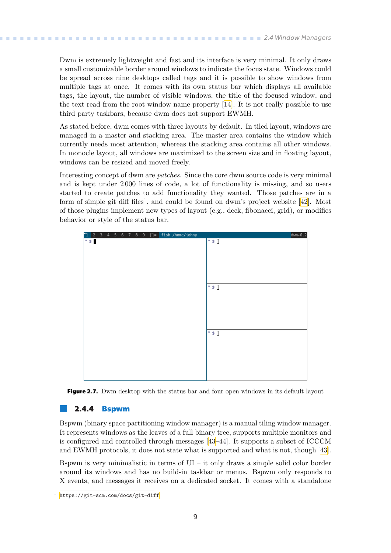<span id="page-16-1"></span>Dwm is extremely lightweight and fast and its interface is very minimal. It only draws a small customizable border around windows to indicate the focus state. Windows could be spread across nine desktops called tags and it is possible to show windows from multiple tags at once. It comes with its own status bar which displays all available tags, the layout, the number of visible windows, the title of the focused window, and the text read from the root window name property[[14\]](#page-62-14). It is not really possible to use third party taskbars, because dwm does not support EWMH.

As stated before, dwm comes with three layouts by default. In tiled layout, windows are managed in a master and stacking area. The master area contains the window which currently needs most attention, whereas the stacking area contains all other windows. In monocle layout, all windows are maximized to the screen size and in floating layout, windows can be resized and moved freely.

Interesting concept of dwm are *patches*. Since the core dwm source code is very minimal and is kept under 2 000 lines of code, a lot of functionality is missing, and so users started to create patches to add functionality they wanted. Those patches are in a formof simple git diff files<sup>1</sup>, and could be found on dwm's project website [[42\]](#page-64-8). Most of those plugins implement new types of layout (e.g., deck, fibonacci, grid), or modifies behavior or style of the status bar.



<span id="page-16-2"></span>**Figure 2.7.** Dwm desktop with the status bar and four open windows in its default layout

#### <span id="page-16-0"></span>**2.4.4 Bspwm**

Bspwm (binary space partitioning window manager) is a manual tiling window manager. It represents windows as the leaves of a full binary tree, supports multiple monitors and is configured and controlled through messages [\[43](#page-64-9)–[44\]](#page-64-10). It supports a subset of ICCCM and EWMH protocols, it does not state what is supported and what is not, though[[43](#page-64-9)].

Bspwm is very minimalistic in terms of  $UI - it$  only draws a simple solid color border around its windows and has no build-in taskbar or menus. Bspwm only responds to X events, and messages it receives on a dedicated socket. It comes with a standalone

<sup>1</sup> <https://git-scm.com/docs/git-diff>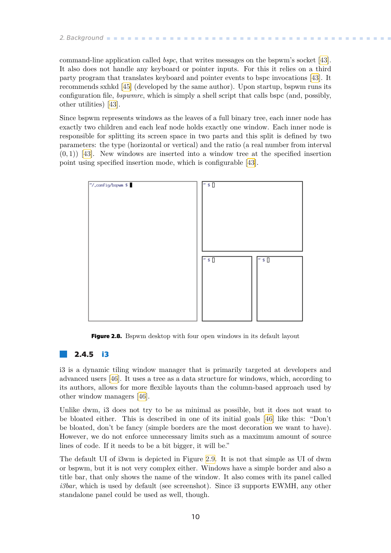# <span id="page-17-1"></span>*2. Background* **. . . . . . . . . . . . . . . . . . . . . . . . . . . . . . . . . . . . . . . . . .**

command-line application called *bspc*, that writes messages on the bspwm's socket[[43](#page-64-9)]. It also does not handle any keyboard or pointer inputs. For this it relies on a third party program that translates keyboard and pointer events to bspc invocations [\[43](#page-64-9)]. It recommends sxhkd [\[45](#page-64-11)] (developed by the same author). Upon startup, bspwm runs its configuration file, *bspwmrc*, which is simply a shell script that calls bspc (and, possibly, other utilities) [\[43](#page-64-9)].

Since bspwm represents windows as the leaves of a full binary tree, each inner node has exactly two children and each leaf node holds exactly one window. Each inner node is responsible for splitting its screen space in two parts and this split is defined by two parameters: the type (horizontal or vertical) and the ratio (a real number from interval  $(0,1)$  [\[43](#page-64-9)]. New windows are inserted into a window tree at the specified insertion point using specified insertion mode, which is configurable[[43\]](#page-64-9).



<span id="page-17-2"></span>**Figure 2.8.** Bspwm desktop with four open windows in its default layout

#### <span id="page-17-0"></span>**2.4.5 i3**

i3 is a dynamic tiling window manager that is primarily targeted at developers and advanced users [\[46](#page-64-12)]. It uses a tree as a data structure for windows, which, according to its authors, allows for more flexible layouts than the column-based approach used by other window managers [\[46](#page-64-12)].

Unlike dwm, i3 does not try to be as minimal as possible, but it does not want to be bloated either. This is described in one of its initial goals[[46\]](#page-64-12) like this: "Don't be bloated, don't be fancy (simple borders are the most decoration we want to have). However, we do not enforce unnecessary limits such as a maximum amount of source lines of code. If it needs to be a bit bigger, it will be."

The default UI of i3wm is depicted in Figure [2.9](#page-18-2). It is not that simple as UI of dwm or bspwm, but it is not very complex either. Windows have a simple border and also a title bar, that only shows the name of the window. It also comes with its panel called *i3bar*, which is used by default (see screenshot). Since i3 supports EWMH, any other standalone panel could be used as well, though.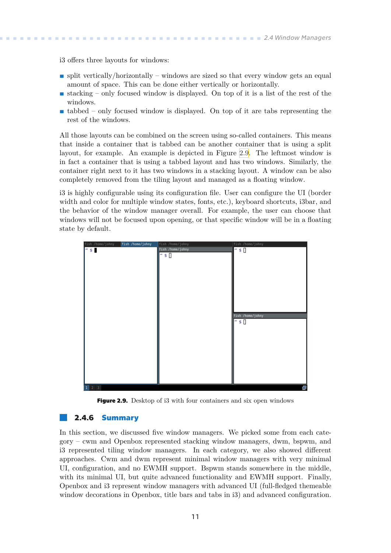<span id="page-18-1"></span>i3 offers three layouts for windows:

- **.** split vertically/horizontally windows are sized so that every window gets an equal amount of space. This can be done either vertically or horizontally.
- **.** stacking only focused window is displayed. On top of it is a list of the rest of the windows.
- **.** tabbed only focused window is displayed. On top of it are tabs representing the rest of the windows.

All those layouts can be combined on the screen using so-called containers. This means that inside a container that is tabbed can be another container that is using a split layout, for example. An example is depicted in Figure [2.9.](#page-18-2) The leftmost window is in fact a container that is using a tabbed layout and has two windows. Similarly, the container right next to it has two windows in a stacking layout. A window can be also completely removed from the tiling layout and managed as a floating window.

i3 is highly configurable using its configuration file. User can configure the UI (border width and color for multiple window states, fonts, etc.), keyboard shortcuts, i3bar, and the behavior of the window manager overall. For example, the user can choose that windows will not be focused upon opening, or that specific window will be in a floating state by default.

| fish /home/johny<br>fish /home/johny | fish /home/johny        | fish /home/johny |
|--------------------------------------|-------------------------|------------------|
| $"$ s $\blacksquare$                 | fish /home/johny        | "\$[]            |
|                                      | $^{\prime\prime}$ \$ [] |                  |
|                                      |                         |                  |
|                                      |                         |                  |
|                                      |                         |                  |
|                                      |                         |                  |
|                                      |                         |                  |
|                                      |                         |                  |
|                                      |                         |                  |
|                                      |                         |                  |
|                                      |                         |                  |
|                                      |                         | fish /home/johny |
|                                      |                         |                  |
|                                      |                         | $"$ \$[          |
|                                      |                         |                  |
|                                      |                         |                  |
|                                      |                         |                  |
|                                      |                         |                  |
|                                      |                         |                  |
|                                      |                         |                  |
|                                      |                         |                  |
|                                      |                         |                  |
|                                      |                         |                  |
|                                      |                         |                  |
| $2 \mid 3$<br>$\mathbf{1}$           |                         | e                |

<span id="page-18-2"></span>**Figure 2.9.** Desktop of i3 with four containers and six open windows

#### <span id="page-18-0"></span>**2.4.6 Summary**

In this section, we discussed five window managers. We picked some from each category – cwm and Openbox represented stacking window managers, dwm, bspwm, and i3 represented tiling window managers. In each category, we also showed different approaches. Cwm and dwm represent minimal window managers with very minimal UI, configuration, and no EWMH support. Bspwm stands somewhere in the middle, with its minimal UI, but quite advanced functionality and EWMH support. Finally, Openbox and i3 represent window managers with advanced UI (full-fledged themeable window decorations in Openbox, title bars and tabs in i3) and advanced configuration.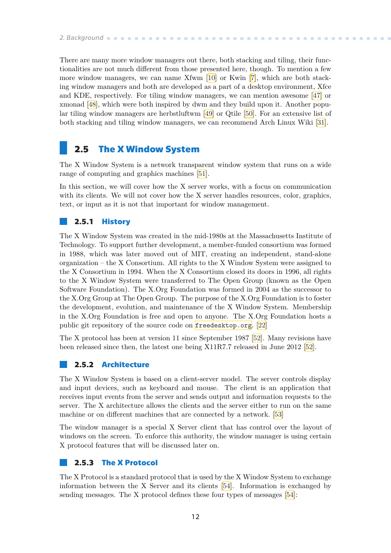<span id="page-19-1"></span>There are many more window managers out there, both stacking and tiling, their functionalities are not much different from those presented here, though. To mention a few more window managers, we can name Xfwm[[10\]](#page-62-10) or Kwin [\[7\]](#page-62-7), which are both stacking window managers and both are developed as a part of a desktop environment, Xfce and KDE, respectively. For tiling window managers, we can mention awesome[[47\]](#page-64-13) or xmonad [\[48](#page-64-14)], which were both inspired by dwm and they build upon it. Another popular tiling window managers are herbstluftwm [\[49](#page-64-15)] or Qtile[[50\]](#page-64-16). For an extensive list of both stacking and tiling window managers, we can recommend Arch Linux Wiki [\[31](#page-63-15)].

## <span id="page-19-0"></span>**2.5 The X Window System**

The X Window System is a network transparent window system that runs on a wide range of computing and graphics machines [\[51](#page-64-17)].

In this section, we will cover how the X server works, with a focus on communication with its clients. We will not cover how the X server handles resources, color, graphics, text, or input as it is not that important for window management.

#### <span id="page-19-2"></span>**2.5.1 History**

The X Window System was created in the mid-1980s at the Massachusetts Institute of Technology. To support further development, a member-funded consortium was formed in 1988, which was later moved out of MIT, creating an independent, stand-alone organization – the X Consortium. All rights to the X Window System were assigned to the X Consortium in 1994. When the X Consortium closed its doors in 1996, all rights to the X Window System were transferred to The Open Group (known as the Open Software Foundation). The X.Org Foundation was formed in 2004 as the successor to the X.Org Group at The Open Group. The purpose of the X.Org Foundation is to foster the development, evolution, and maintenance of the X Window System. Membership in the X.Org Foundation is free and open to anyone. The X.Org Foundation hosts a public git repository of the source code on <freedesktop.org>. [\[22](#page-63-6)]

The X protocol has been at version 11 since September 1987[[52\]](#page-64-18). Many revisions have been released since then, the latest one being X11R7.7 released in June 2012 [\[52](#page-64-18)].

#### <span id="page-19-3"></span>**2.5.2 Architecture**

The X Window System is based on a client-server model. The server controls display and input devices, such as keyboard and mouse. The client is an application that receives input events from the server and sends output and information requests to the server. The X architecture allows the clients and the server either to run on the same machine or on different machines that are connected by a network. [\[53](#page-64-19)]

The window manager is a special X Server client that has control over the layout of windows on the screen. To enforce this authority, the window manager is using certain X protocol features that will be discussed later on.

#### <span id="page-19-4"></span>**2.5.3 The X Protocol**

The X Protocol is a standard protocol that is used by the X Window System to exchange information between the X Server and its clients[[54\]](#page-64-20). Information is exchanged by sending messages. The X protocol defines these four types of messages [\[54](#page-64-20)]: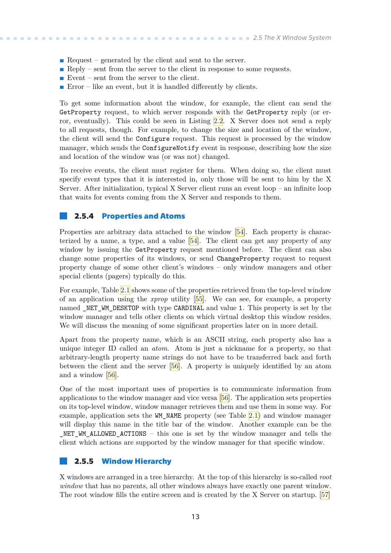- <span id="page-20-1"></span>**Request** – generated by the client and sent to the server.
- **.** Reply sent from the server to the client in response to some requests.
- Event sent from the server to the client.
- Error like an event, but it is handled differently by clients.

To get some information about the window, for example, the client can send the GetProperty request, to which server responds with the GetProperty reply (or error, eventually). This could be seen in Listing [2.2](#page-22-3). X Server does not send a reply to all requests, though. For example, to change the size and location of the window, the client will send the Configure request. This request is processed by the window manager, which sends the ConfigureNotify event in response, describing how the size and location of the window was (or was not) changed.

To receive events, the client must register for them. When doing so, the client must specify event types that it is interested in, only those will be sent to him by the X Server. After initialization, typical X Server client runs an event loop – an infinite loop that waits for events coming from the X Server and responds to them.

#### <span id="page-20-0"></span>**2.5.4 Properties and Atoms**

Properties are arbitrary data attached to the window [\[54](#page-64-20)]. Each property is characterized by a name, a type, and a value [\[54](#page-64-20)]. The client can get any property of any window by issuing the GetProperty request mentioned before. The client can also change some properties of its windows, or send ChangeProperty request to request property change of some other client's windows – only window managers and other special clients (pagers) typically do this.

For example, Table [2.1](#page-21-2) shows some of the properties retrieved from the top-level window of an application using the *xprop* utility [\[55](#page-65-0)]. We can see, for example, a property named \_NET\_WM\_DESKTOP with type CARDINAL and value 1. This property is set by the window manager and tells other clients on which virtual desktop this window resides. We will discuss the meaning of some significant properties later on in more detail.

Apart from the property name, which is an ASCII string, each property also has a unique integer ID called an *atom*. Atom is just a nickname for a property, so that arbitrary-length property name strings do not have to be transferred back and forth between the client and the server[[56\]](#page-65-1). A property is uniquely identified by an atom and a window [\[56](#page-65-1)].

One of the most important uses of properties is to communicate information from applications to the window manager and vice versa[[56\]](#page-65-1). The application sets properties on its top-level window, window manager retrieves them and use them in some way. For example, application sets the WM\_NAME property (see Table [2.1\)](#page-21-2) and window manager will display this name in the title bar of the window. Another example can be the NET WM ALLOWED ACTIONS – this one is set by the window manager and tells the client which actions are supported by the window manager for that specific window.

#### <span id="page-20-2"></span>**2.5.5 Window Hierarchy**

X windows are arranged in a tree hierarchy. At the top of this hierarchy is so-called *root window* that has no parents, all other windows always have exactly one parent window. The root window fills the entire screen and is created by the X Server on startup. [\[57](#page-65-2)]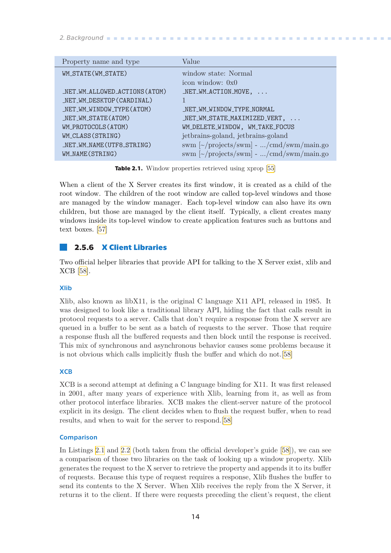<span id="page-21-1"></span>

| Property name and type        | Value                                                            |
|-------------------------------|------------------------------------------------------------------|
| WM_STATE(WM_STATE)            | window state: Normal                                             |
|                               | icon window: $0x0$                                               |
| _NET_WM_ALLOWED_ACTIONS(ATOM) | $NET_WM_ACTION_MOVE, \ldots$                                     |
| _NET_WM_DESKTOP(CARDINAL)     |                                                                  |
| _NET_WM_WINDOW_TYPE(ATOM)     | NET WM WINDOW TYPE NORMAL                                        |
| _NET_WM_STATE(ATOM)           | $NET$ WM_STATE_MAXIMIZED_VERT, $\ldots$                          |
| WM_PROTOCOLS(ATOM)            | WM_DELETE_WINDOW, WM_TAKE_FOCUS                                  |
| WM_CLASS(STRING)              | jetbrains-goland, jetbrains-goland                               |
| _NET_WM_NAME(UTF8_STRING)     | swm $\lceil \sim \text{/projects/swm} \rceil$ - /cmd/swm/main.go |
| WM_NAME(STRING)               | swm $\lceil \sim \text{/projects/swm} \rceil$ - /cmd/swm/main.go |

<span id="page-21-2"></span>**Table 2.1.** Window properties retrieved using xprop [\[55](#page-65-0)]

When a client of the X Server creates its first window, it is created as a child of the root window. The children of the root window are called top-level windows and those are managed by the window manager. Each top-level window can also have its own children, but those are managed by the client itself. Typically, a client creates many windows inside its top-level window to create application features such as buttons and text boxes.[[57\]](#page-65-2)

#### <span id="page-21-0"></span>**2.5.6 X Client Libraries**

Two official helper libraries that provide API for talking to the X Server exist, xlib and XCB[[58\]](#page-65-3).

#### Xlib

Xlib, also known as libX11, is the original C language X11 API, released in 1985. It was designed to look like a traditional library API, hiding the fact that calls result in protocol requests to a server. Calls that don't require a response from the X server are queued in a buffer to be sent as a batch of requests to the server. Those that require a response flush all the buffered requests and then block until the response is received. This mix of synchronous and asynchronous behavior causes some problems because it is not obvious which calls implicitly flush the buffer and which do not.[[58\]](#page-65-3)

#### **XCB**

XCB is a second attempt at defining a C language binding for X11. It was first released in 2001, after many years of experience with Xlib, learning from it, as well as from other protocol interface libraries. XCB makes the client-server nature of the protocol explicit in its design. The client decides when to flush the request buffer, when to read results, and when to wait for the server to respond.[\[58](#page-65-3)]

#### **Comparison**

In Listings [2.1](#page-22-2) and [2.2](#page-22-3) (both taken from the official developer's guide[[58](#page-65-3)]), we can see a comparison of those two libraries on the task of looking up a window property. Xlib generates the request to the X server to retrieve the property and appends it to its buffer of requests. Because this type of request requires a response, Xlib flushes the buffer to send its contents to the X Server. When Xlib receives the reply from the X Server, it returns it to the client. If there were requests preceding the client's request, the client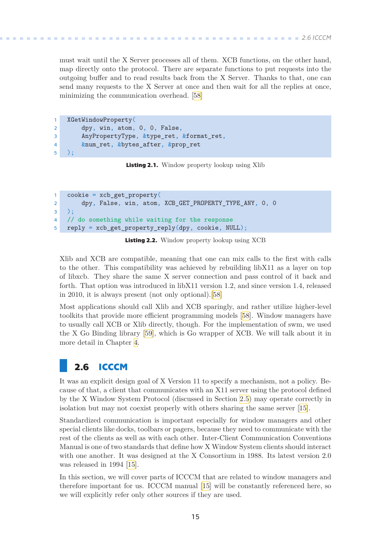<span id="page-22-1"></span>must wait until the X Server processes all of them. XCB functions, on the other hand, map directly onto the protocol. There are separate functions to put requests into the outgoing buffer and to read results back from the X Server. Thanks to that, one can send many requests to the X Server at once and then wait for all the replies at once, minimizing the communication overhead.[[58\]](#page-65-3)

```
1 XGetWindowProperty(
2 dpy, win, atom, 0, 0, False,
3 AnyPropertyType, &type_ret, &format_ret,
4 &num_ret, &bytes_after, &prop_ret
5 );
```
<span id="page-22-2"></span>**Listing 2.1.** Window property lookup using Xlib

```
1 cookie = xcb_get_property(
2 dpy, False, win, atom, XCB_GET_PROPERTY_TYPE_ANY, 0, 0
3 );
4 // do something while waiting for the response
5 reply = xcb_get_property_reply(dpy, cookie, NULL);
```
<span id="page-22-3"></span>**Listing 2.2.** Window property lookup using XCB

Xlib and XCB are compatible, meaning that one can mix calls to the first with calls to the other. This compatibility was achieved by rebuilding libX11 as a layer on top of libxcb. They share the same X server connection and pass control of it back and forth. That option was introduced in libX11 version 1.2, and since version 1.4, released in 2010, it is always present (not only optional).[\[58](#page-65-3)]

Most applications should call Xlib and XCB sparingly, and rather utilize higher-level toolkits that provide more efficient programming models[[58\]](#page-65-3). Window managers have to usually call XCB or Xlib directly, though. For the implementation of swm, we used the X Go Binding library[[59\]](#page-65-4), which is Go wrapper of XCB. We will talk about it in more detail in Chapter [4](#page-40-0).

# <span id="page-22-0"></span>**2.6 ICCCM**

It was an explicit design goal of X Version 11 to specify a mechanism, not a policy. Because of that, a client that communicates with an X11 server using the protocol defined by the X Window System Protocol (discussed in Section [2.5](#page-19-0)) may operate correctly in isolation but may not coexist properly with others sharing the same server[[15\]](#page-62-15).

Standardized communication is important especially for window managers and other special clients like docks, toolbars or pagers, because they need to communicate with the rest of the clients as well as with each other. Inter-Client Communication Conventions Manual is one of two standards that define how X Window System clients should interact with one another. It was designed at the X Consortium in 1988. Its latest version 2.0 was released in 1994[[15\]](#page-62-15).

In this section, we will cover parts of ICCCM that are related to window managers and therefore important for us. ICCCM manual [\[15](#page-62-15)] will be constantly referenced here, so we will explicitly refer only other sources if they are used.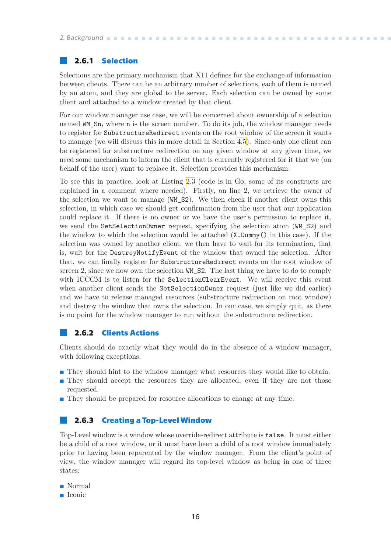#### <span id="page-23-1"></span><span id="page-23-0"></span>**2.6.1 Selection**

Selections are the primary mechanism that X11 defines for the exchange of information between clients. There can be an arbitrary number of selections, each of them is named by an atom, and they are global to the server. Each selection can be owned by some client and attached to a window created by that client.

For our window manager use case, we will be concerned about ownership of a selection named WM\_Sn, where n is the screen number. To do its job, the window manager needs to register for SubstructureRedirect events on the root window of the screen it wants to manage (we will discuss this in more detail in Section [4.5](#page-47-0)). Since only one client can be registered for substructure redirection on any given window at any given time, we need some mechanism to inform the client that is currently registered for it that we (on behalf of the user) want to replace it. Selection provides this mechanism.

To see this in practice, look at Listing [2.3](#page-24-0) (code is in Go, some of its constructs are explained in a comment where needed). Firstly, on line 2, we retrieve the owner of the selection we want to manage (WM\_S2). We then check if another client owns this selection, in which case we should get confirmation from the user that our application could replace it. If there is no owner or we have the user's permission to replace it, we send the SetSelectionOwner request, specifying the selection atom (WM\_S2) and the window to which the selection would be attached (X.Dummy() in this case). If the selection was owned by another client, we then have to wait for its termination, that is, wait for the DestroyNotifyEvent of the window that owned the selection. After that, we can finally register for SubstructureRedirect events on the root window of screen 2, since we now own the selection WM S2. The last thing we have to do to comply with ICCCM is to listen for the SelectionClearEvent. We will receive this event when another client sends the SetSelectionOwner request (just like we did earlier) and we have to release managed resources (substructure redirection on root window) and destroy the window that owns the selection. In our case, we simply quit, as there is no point for the window manager to run without the substructure redirection.

#### <span id="page-23-2"></span>**2.6.2 Clients Actions**

Clients should do exactly what they would do in the absence of a window manager, with following exceptions:

- **.** They should hint to the window manager what resources they would like to obtain.
- **.** They should accept the resources they are allocated, even if they are not those requested.
- **They should be prepared for resource allocations to change at any time.**

#### <span id="page-23-3"></span>**2.6.3 Creating a Top-Level Window**

Top-Level window is a window whose override-redirect attribute is false. It must either be a child of a root window, or it must have been a child of a root window immediately prior to having been reparented by the window manager. From the client's point of view, the window manager will regard its top-level window as being in one of three states:

- **.** Normal **.** Iconic
-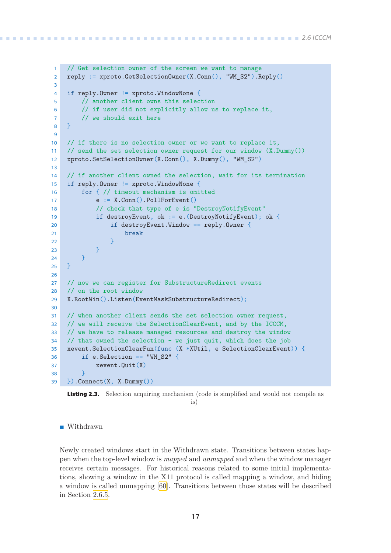```
1 // Get selection owner of the screen we want to manage
2 reply := xproto.GetSelectionOwner(X.Conn(), "WM_S2").Reply()
3
4 if reply.Owner != xproto.WindowNone {
5 // another client owns this selection
6 // if user did not explicitly allow us to replace it,
7 // we should exit here
8 }
9
10 // if there is no selection owner or we want to replace it,
11 // send the set selection owner request for our window (X.Dummy())
12 xproto.SetSelectionOwner(X.Conn(), X.Dummy(), "WM_S2")
13
14 // if another client owned the selection, wait for its termination
15 if reply.Owner != xproto.WindowNone {
16 for { // timeout mechanism is omitted
17 e := X.Conn().PollForEvent()
18 // check that type of e is "DestroyNotifyEvent"
19 if destroyEvent, ok := e.(DestroyNotifyEvent); ok {
20 if destroyEvent.Window == reply.Owner {
21 break
22 }
23 }
24 }
25 }
26
27 // now we can register for SubstructureRedirect events
28 // on the root window
29 X.RootWin().Listen(EventMaskSubstructureRedirect);
30
31 // when another client sends the set selection owner request,
32 // we will receive the SelectionClearEvent, and by the ICCCM,
33 // we have to release managed resources and destroy the window
34 // that owned the selection - we just quit, which does the job
35 xevent.SelectionClearFun(func (X *XUtil, e SelectionClearEvent)) {
36 if e.Selection == "WM_S2" {
37 xevent.Quit(X)
38 }
39 }).Connect(X, X.Dummy())
```
<span id="page-24-0"></span>

#### **.** Withdrawn

Newly created windows start in the Withdrawn state. Transitions between states happen when the top-level window is *mapped* and *unmapped* and when the window manager receives certain messages. For historical reasons related to some initial implementations, showing a window in the X11 protocol is called mapping a window, and hiding a window is called unmapping [\[60](#page-65-5)]. Transitions between those states will be described in Section [2.6.5](#page-27-0).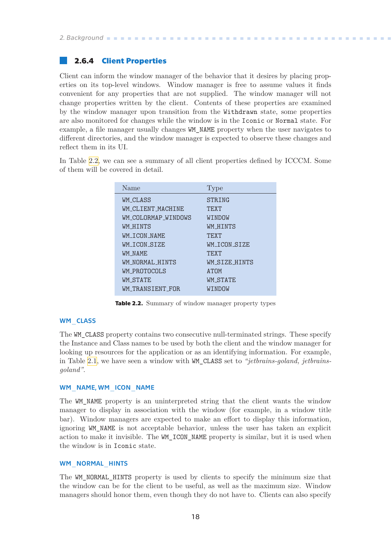#### <span id="page-25-1"></span><span id="page-25-0"></span>**2.6.4 Client Properties**

Client can inform the window manager of the behavior that it desires by placing properties on its top-level windows. Window manager is free to assume values it finds convenient for any properties that are not supplied. The window manager will not change properties written by the client. Contents of these properties are examined by the window manager upon transition from the Withdrawn state, some properties are also monitored for changes while the window is in the Iconic or Normal state. For example, a file manager usually changes WM\_NAME property when the user navigates to different directories, and the window manager is expected to observe these changes and reflect them in its UI.

In Table [2.2](#page-25-2), we can see a summary of all client properties defined by ICCCM. Some of them will be covered in detail.

| Name                | 'Type           |
|---------------------|-----------------|
| WM CLASS            | STRING          |
| WM CLIENT MACHINE   | <b>TF.XT</b>    |
| WM_COLORMAP_WINDOWS | WINDOW          |
| WM HTNTS            | WM HTNTS        |
| WM TCON NAME        | <b>TF.XT</b>    |
| WM TCON STZE        | WM TCON STZE    |
| WM NAME.            | TFXT            |
| WM NORMAL HINTS     | WM STZE HINTS   |
| WM PROTOCOLS        | ATOM            |
| <b>WM_STATE</b>     | <b>WM_STATE</b> |
| WM TRANSTENT FOR    | WINDOW          |

<span id="page-25-2"></span>**Table 2.2.** Summary of window manager property types

#### WM\_CLASS

The WM\_CLASS property contains two consecutive null-terminated strings. These specify the Instance and Class names to be used by both the client and the window manager for looking up resources for the application or as an identifying information. For example, in Table [2.1](#page-21-2), we have seen a window with WM\_CLASS set to *"jetbrains-goland, jetbrainsgoland"*.

#### WM\_NAME, WM\_ICON\_NAME

The WM NAME property is an uninterpreted string that the client wants the window manager to display in association with the window (for example, in a window title bar). Window managers are expected to make an effort to display this information, ignoring WM\_NAME is not acceptable behavior, unless the user has taken an explicit action to make it invisible. The WM\_ICON\_NAME property is similar, but it is used when the window is in Iconic state.

#### WM\_NORMAL\_HINTS

The WM\_NORMAL\_HINTS property is used by clients to specify the minimum size that the window can be for the client to be useful, as well as the maximum size. Window managers should honor them, even though they do not have to. Clients can also specify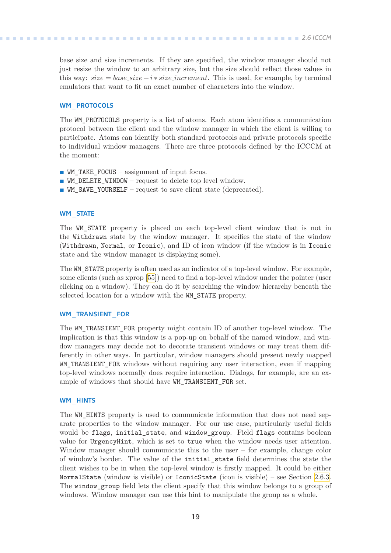base size and size increments. If they are specified, the window manager should not just resize the window to an arbitrary size, but the size should reflect those values in this way:  $size = base_size + i * size_increment$ . This is used, for example, by terminal emulators that want to fit an exact number of characters into the window.

#### WM\_PROTOCOLS

The WM\_PROTOCOLS property is a list of atoms. Each atom identifies a communication protocol between the client and the window manager in which the client is willing to participate. Atoms can identify both standard protocols and private protocols specific to individual window managers. There are three protocols defined by the ICCCM at the moment:

- **.** WM\_TAKE\_FOCUS assignment of input focus.
- **.** WM\_DELETE\_WINDOW request to delete top level window.
- **.** WM\_SAVE\_YOURSELF request to save client state (deprecated).

#### WM\_STATE

The WM STATE property is placed on each top-level client window that is not in the Withdrawn state by the window manager. It specifies the state of the window (Withdrawn, Normal, or Iconic), and ID of icon window (if the window is in Iconic state and the window manager is displaying some).

The WM STATE property is often used as an indicator of a top-level window. For example, some clients (such as xprop[[55\]](#page-65-0)) need to find a top-level window under the pointer (user clicking on a window). They can do it by searching the window hierarchy beneath the selected location for a window with the WM\_STATE property.

#### WM\_TRANSIENT\_FOR

The WM\_TRANSIENT\_FOR property might contain ID of another top-level window. The implication is that this window is a pop-up on behalf of the named window, and window managers may decide not to decorate transient windows or may treat them differently in other ways. In particular, window managers should present newly mapped WM\_TRANSIENT\_FOR windows without requiring any user interaction, even if mapping top-level windows normally does require interaction. Dialogs, for example, are an example of windows that should have WM\_TRANSIENT\_FOR set.

#### WM\_HINTS

The WM HINTS property is used to communicate information that does not need separate properties to the window manager. For our use case, particularly useful fields would be flags, initial\_state, and window\_group. Field flags contains boolean value for UrgencyHint, which is set to true when the window needs user attention. Window manager should communicate this to the user – for example, change color of window's border. The value of the initial\_state field determines the state the client wishes to be in when the top-level window is firstly mapped. It could be either NormalState (window is visible) or IconicState (icon is visible) – see Section [2.6.3.](#page-23-3) The window group field lets the client specify that this window belongs to a group of windows. Window manager can use this hint to manipulate the group as a whole.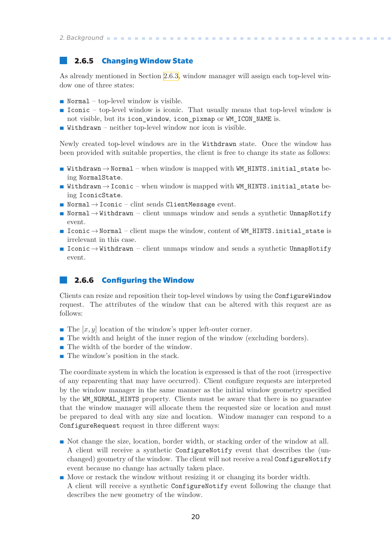#### <span id="page-27-1"></span><span id="page-27-0"></span>**2.6.5 Changing Window State**

As already mentioned in Section [2.6.3,](#page-23-3) window manager will assign each top-level window one of three states:

- **.** Normal top-level window is visible.
- **Iconic** top-level window is iconic. That usually means that top-level window is not visible, but its icon\_window, icon\_pixmap or WM\_ICON\_NAME is.
- **.** Withdrawn neither top-level window nor icon is visible.

Newly created top-level windows are in the Withdrawn state. Once the window has been provided with suitable properties, the client is free to change its state as follows:

- Withdrawn  $\rightarrow$  Normal when window is mapped with WM\_HINTS.initial\_state being NormalState.
- **Withdrawn**  $\rightarrow$  Iconic when window is mapped with WM\_HINTS.initial\_state being IconicState.
- **.** Normal→Iconic clint sends ClientMessage event.
- **.** Normal→Withdrawn client unmaps window and sends a synthetic UnmapNotify event.
- **.** Iconic→Normal client maps the window, content of WM\_HINTS.initial\_state is irrelevant in this case.
- **.** Iconic→Withdrawn client unmaps window and sends a synthetic UnmapNotify event.

#### <span id="page-27-2"></span>**2.6.6 Configuring the Window**

Clients can resize and reposition their top-level windows by using the ConfigureWindow request. The attributes of the window that can be altered with this request are as follows:

- **.** The [*x, y*] location of the window's upper left-outer corner.
- **.** The  $[x, y]$  location of the window's upper left-outer corner.<br> **.** The width and height of the inner region of the window (excluding borders). **.** The width and height of the inner regio
- The width of the border of the window.<br>■ The window's position in the stack.
- 

The coordinate system in which the location is expressed is that of the root (irrespective of any reparenting that may have occurred). Client configure requests are interpreted by the window manager in the same manner as the initial window geometry specified by the WM\_NORMAL\_HINTS property. Clients must be aware that there is no guarantee that the window manager will allocate them the requested size or location and must be prepared to deal with any size and location. Window manager can respond to a ConfigureRequest request in three different ways:

- **.** Not change the size, location, border width, or stacking order of the window at all. A client will receive a synthetic ConfigureNotify event that describes the (unchanged) geometry of the window. The client will not receive a real ConfigureNotify event because no change has actually taken place.
- **.** Move or restack the window without resizing it or changing its border width. A client will receive a synthetic ConfigureNotify event following the change that describes the new geometry of the window.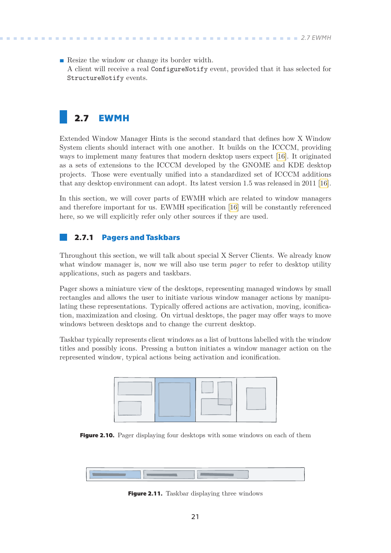<span id="page-28-1"></span>**.** Resize the window or change its border width. A client will receive a real ConfigureNotify event, provided that it has selected for StructureNotify events.

# <span id="page-28-0"></span>**2.7 EWMH**

Extended Window Manager Hints is the second standard that defines how X Window System clients should interact with one another. It builds on the ICCCM, providing ways to implement many features that modern desktop users expect[[16\]](#page-63-0). It originated as a sets of extensions to the ICCCM developed by the GNOME and KDE desktop projects. Those were eventually unified into a standardized set of ICCCM additions that any desktop environment can adopt. Its latest version 1.5 was released in 2011[[16](#page-63-0)].

In this section, we will cover parts of EWMH which are related to window managers and therefore important for us. EWMH specification [\[16](#page-63-0)] will be constantly referenced here, so we will explicitly refer only other sources if they are used.

#### <span id="page-28-2"></span>**2.7.1 Pagers and Taskbars**

Throughout this section, we will talk about special X Server Clients. We already know what window manager is, now we will also use term *pager* to refer to desktop utility applications, such as pagers and taskbars.

Pager shows a miniature view of the desktops, representing managed windows by small rectangles and allows the user to initiate various window manager actions by manipulating these representations. Typically offered actions are activation, moving, iconification, maximization and closing. On virtual desktops, the pager may offer ways to move windows between desktops and to change the current desktop.

Taskbar typically represents client windows as a list of buttons labelled with the window titles and possibly icons. Pressing a button initiates a window manager action on the represented window, typical actions being activation and iconification.



<span id="page-28-3"></span>**Figure 2.10.** Pager displaying four desktops with some windows on each of them



<span id="page-28-4"></span>**Figure 2.11.** Taskbar displaying three windows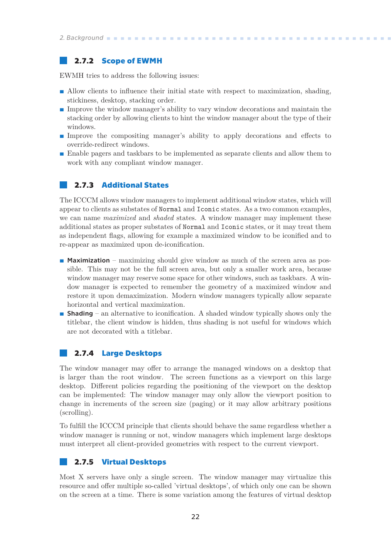#### <span id="page-29-1"></span><span id="page-29-0"></span>**2.7.2 Scope of EWMH**

EWMH tries to address the following issues:

- **.** Allow clients to influence their initial state with respect to maximization, shading, stickiness, desktop, stacking order.
- **.** Improve the window manager's ability to vary window decorations and maintain the stacking order by allowing clients to hint the window manager about the type of their windows.
- **.** Improve the compositing manager's ability to apply decorations and effects to override-redirect windows.
- **.** Enable pagers and taskbars to be implemented as separate clients and allow them to work with any compliant window manager.

#### <span id="page-29-2"></span>**2.7.3 Additional States**

The ICCCM allows window managers to implement additional window states, which will appear to clients as substates of Normal and Iconic states. As a two common examples, we can name *maximized* and *shaded* states. A window manager may implement these additional states as proper substates of Normal and Iconic states, or it may treat them as independent flags, allowing for example a maximized window to be iconified and to re-appear as maximized upon de-iconification.

- **.** Maximization maximizing should give window as much of the screen area as possible. This may not be the full screen area, but only a smaller work area, because window manager may reserve some space for other windows, such as taskbars. A window manager is expected to remember the geometry of a maximized window and restore it upon demaximization. Modern window managers typically allow separate horizontal and vertical maximization.
- **.** Shading an alternative to iconification. A shaded window typically shows only the titlebar, the client window is hidden, thus shading is not useful for windows which are not decorated with a titlebar.

#### <span id="page-29-3"></span>**2.7.4 Large Desktops**

The window manager may offer to arrange the managed windows on a desktop that is larger than the root window. The screen functions as a viewport on this large desktop. Different policies regarding the positioning of the viewport on the desktop can be implemented: The window manager may only allow the viewport position to change in increments of the screen size (paging) or it may allow arbitrary positions (scrolling).

To fulfill the ICCCM principle that clients should behave the same regardless whether a window manager is running or not, window managers which implement large desktops must interpret all client-provided geometries with respect to the current viewport.

#### <span id="page-29-4"></span>**2.7.5 Virtual Desktops**

Most X servers have only a single screen. The window manager may virtualize this resource and offer multiple so-called 'virtual desktops', of which only one can be shown on the screen at a time. There is some variation among the features of virtual desktop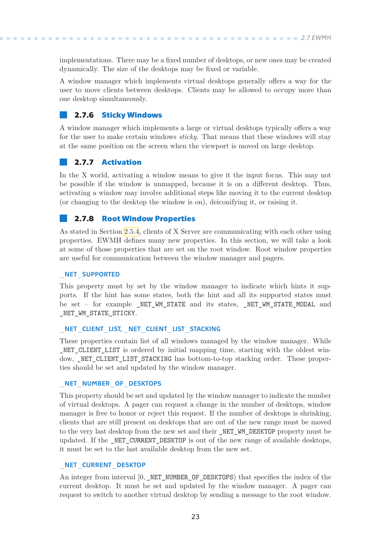<span id="page-30-1"></span>implementations. There may be a fixed number of desktops, or new ones may be created dynamically. The size of the desktops may be fixed or variable.

A window manager which implements virtual desktops generally offers a way for the user to move clients between desktops. Clients may be allowed to occupy more than one desktop simultaneously.

#### <span id="page-30-0"></span>**2.7.6 Sticky Windows**

A window manager which implements a large or virtual desktops typically offers a way for the user to make certain windows *sticky*. That means that these windows will stay at the same position on the screen when the viewport is moved on large desktop.

#### <span id="page-30-2"></span>**2.7.7 Activation**

In the X world, activating a window means to give it the input focus. This may not be possible if the window is unmapped, because it is on a different desktop. Thus, activating a window may involve additional steps like moving it to the current desktop (or changing to the desktop the window is on), deiconifying it, or raising it.

#### <span id="page-30-3"></span>**2.7.8 Root Window Properties**

As stated in Section [2.5.4,](#page-20-0) clients of X Server are communicating with each other using properties. EWMH defines many new properties. In this section, we will take a look at some of those properties that are set on the root window. Root window properties are useful for communication between the window manager and pagers.

#### NET SUPPORTED

This property must by set by the window manager to indicate which hints it supports. If the hint has some states, both the hint and all its supported states must be set – for example \_NET\_WM\_STATE and its states, \_NET\_WM\_STATE\_MODAL and NET WM STATE STICKY.

#### NET CLIENT LIST, NET CLIENT LIST STACKING

These properties contain list of all windows managed by the window manager. While NET CLIENT LIST is ordered by initial mapping time, starting with the oldest window, NET CLIENT LIST STACKING has bottom-to-top stacking order. These properties should be set and updated by the window manager.

#### \_NET\_NUMBER\_OF\_DESKTOPS

This property should be set and updated by the window manager to indicate the number of virtual desktops. A pager can request a change in the number of desktops, window manager is free to honor or reject this request. If the number of desktops is shrinking, clients that are still present on desktops that are out of the new range must be moved to the very last desktop from the new set and their NET WM\_DESKTOP property must be updated. If the NET CURRENT DESKTOP is out of the new range of available desktops, it must be set to the last available desktop from the new set.

#### NET CURRENT DESKTOP

An integer from interval [0, NET NUMBER OF DESKTOPS) that specifies the index of the current desktop. It must be set and updated by the window manager. A pager can request to switch to another virtual desktop by sending a message to the root window.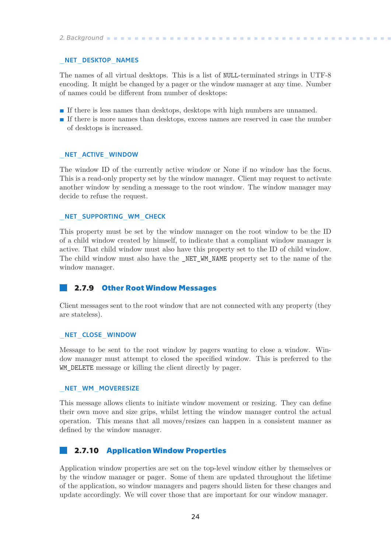#### <span id="page-31-1"></span>NET DESKTOP NAMES

The names of all virtual desktops. This is a list of NULL-terminated strings in UTF-8 encoding. It might be changed by a pager or the window manager at any time. Number of names could be different from number of desktops:

- **.** If there is less names than desktops, desktops with high numbers are unnamed.
- **.** If there is more names than desktops, excess names are reserved in case the number of desktops is increased.

#### NET ACTIVE WINDOW

The window ID of the currently active window or None if no window has the focus. This is a read-only property set by the window manager. Client may request to activate another window by sending a message to the root window. The window manager may decide to refuse the request.

#### NET SUPPORTING WM CHECK

This property must be set by the window manager on the root window to be the ID of a child window created by himself, to indicate that a compliant window manager is active. That child window must also have this property set to the ID of child window. The child window must also have the NET WM NAME property set to the name of the window manager.

#### <span id="page-31-0"></span>**2.7.9 Other Root Window Messages**

Client messages sent to the root window that are not connected with any property (they are stateless).

#### NET CLOSE WINDOW

Message to be sent to the root window by pagers wanting to close a window. Window manager must attempt to closed the specified window. This is preferred to the WM DELETE message or killing the client directly by pager.

#### NET WM MOVERESIZE

This message allows clients to initiate window movement or resizing. They can define their own move and size grips, whilst letting the window manager control the actual operation. This means that all moves/resizes can happen in a consistent manner as defined by the window manager.

#### <span id="page-31-2"></span>**2.7.10 Application Window Properties**

Application window properties are set on the top-level window either by themselves or by the window manager or pager. Some of them are updated throughout the lifetime of the application, so window managers and pagers should listen for these changes and update accordingly. We will cover those that are important for our window manager.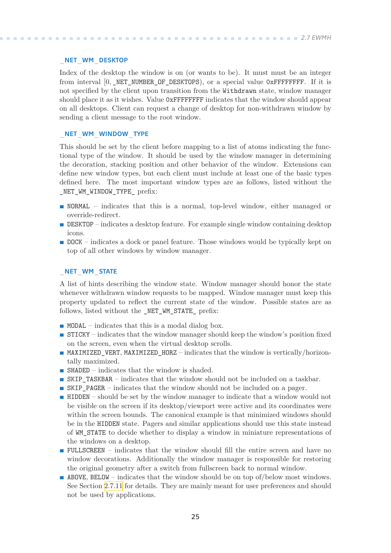#### NET WM DESKTOP

Index of the desktop the window is on (or wants to be). It must must be an integer from interval [0, \_NET\_NUMBER\_OF\_DESKTOPS), or a special value 0xFFFFFFFFF. If it is not specified by the client upon transition from the Withdrawn state, window manager should place it as it wishes. Value 0xFFFFFFFF indicates that the window should appear on all desktops. Client can request a change of desktop for non-withdrawn window by sending a client message to the root window.

#### NET WM WINDOW TYPE

This should be set by the client before mapping to a list of atoms indicating the functional type of the window. It should be used by the window manager in determining the decoration, stacking position and other behavior of the window. Extensions can define new window types, but each client must include at least one of the basic types defined here. The most important window types are as follows, listed without the \_NET\_WM\_WINDOW\_TYPE\_ prefix:

- **.** NORMAL indicates that this is a normal, top-level window, either managed or override-redirect.
- **.** DESKTOP indicates a desktop feature. For example single window containing desktop icons.
- **DOCK** indicates a dock or panel feature. Those windows would be typically kept on top of all other windows by window manager.

#### NET WM STATE

A list of hints describing the window state. Window manager should honor the state whenever withdrawn window requests to be mapped. Window manager must keep this property updated to reflect the current state of the window. Possible states are as follows, listed without the \_NET\_WM\_STATE\_ prefix:

- **.** MODAL indicates that this is a modal dialog box.
- **.** STICKY indicates that the window manager should keep the window's position fixed on the screen, even when the virtual desktop scrolls.
- **.** MAXIMIZED VERT, MAXIMIZED HORZ indicates that the window is vertically/horizontally maximized.
- **.** SHADED indicates that the window is shaded.
- **.** SKIP\_TASKBAR indicates that the window should not be included on a taskbar.
- **.** SKIP\_PAGER indicates that the window should not be included on a pager. ■ SKIP\_PAGER – indicates that the window should not be included on a pager.<br>■ HIDDEN – should be set by the window manager to indicate that a window would not
- be visible on the screen if its desktop/viewport were active and its coordinates were within the screen bounds. The canonical example is that minimized windows should be in the HIDDEN state. Pagers and similar applications should use this state instead of WM\_STATE to decide whether to display a window in miniature representations of the windows on a desktop.
- **.** FULLSCREEN indicates that the window should fill the entire screen and have no window decorations. Additionally the window manager is responsible for restoring the original geometry after a switch from fullscreen back to normal window.
- **.** ABOVE, BELOW indicates that the window should be on top of/below most windows. See Section [2.7.11](#page-34-0) for details. They are mainly meant for user preferences and should not be used by applications.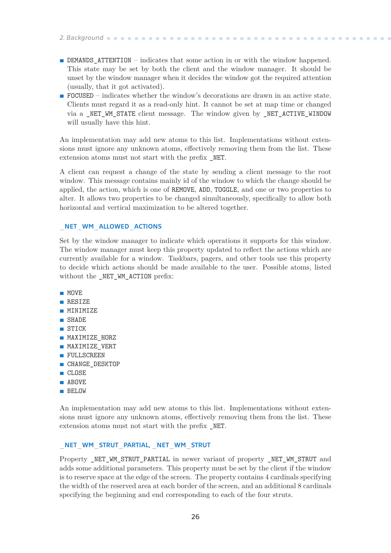- *2. Background* **. . . . . . . . . . . . . . . . . . . . . . . . . . . . . . . . . . . . . . . . . .**
- **.** DEMANDS\_ATTENTION indicates that some action in or with the window happened. This state may be set by both the client and the window manager. It should be unset by the window manager when it decides the window got the required attention (usually, that it got activated).
- **.** FOCUSED indicates whether the window's decorations are drawn in an active state. Clients must regard it as a read-only hint. It cannot be set at map time or changed via a \_NET\_WM\_STATE client message. The window given by \_NET\_ACTIVE\_WINDOW will usually have this hint.

An implementation may add new atoms to this list. Implementations without extensions must ignore any unknown atoms, effectively removing them from the list. These extension atoms must not start with the prefix \_NET.

A client can request a change of the state by sending a client message to the root window. This message contains mainly id of the window to which the change should be applied, the action, which is one of REMOVE, ADD, TOGGLE, and one or two properties to alter. It allows two properties to be changed simultaneously, specifically to allow both horizontal and vertical maximization to be altered together.

#### NET WM ALLOWED ACTIONS

Set by the window manager to indicate which operations it supports for this window. The window manager must keep this property updated to reflect the actions which are currently available for a window. Taskbars, pagers, and other tools use this property to decide which actions should be made available to the user. Possible atoms, listed without the \_NET\_WM\_ACTION prefix:

- **.** MOVE
- **.** RESIZE
- **.** MINIMIZE **. SHADE**
- **.** STICK
- 
- **.** MAXIMIZE\_HORZ **.** MAXIMIZE\_HORZ<br>**.** MAXIMIZE\_VERT
- **.** MAXIMIZE\_V
- 
- **.** FULLSCREEN<br>**CHANGE\_DESKTOP**
- **.** CHANG<br>**.** CLOSE **.** ABOVE
- 
- **.** BELOW

An implementation may add new atoms to this list. Implementations without extensions must ignore any unknown atoms, effectively removing them from the list. These extension atoms must not start with the prefix \_NET.

#### NET WM STRUT PARTIAL, NET WM STRUT

Property NET WM\_STRUT\_PARTIAL in newer variant of property \_NET\_WM\_STRUT and adds some additional parameters. This property must be set by the client if the window is to reserve space at the edge of the screen. The property contains 4 cardinals specifying the width of the reserved area at each border of the screen, and an additional 8 cardinals specifying the beginning and end corresponding to each of the four struts.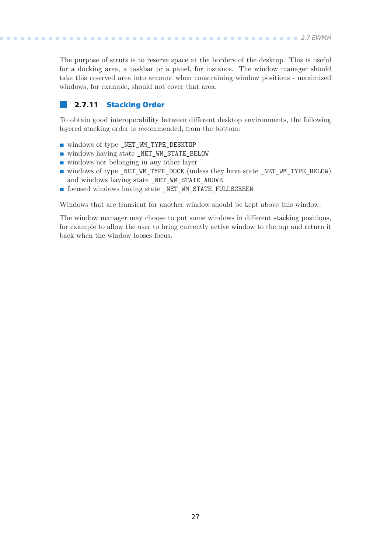**.. . . . . . .. . . . . .. . . . . . .. . . . . .. . . . . . .. . . . . . .. . .** *2.7 EWMH*

<span id="page-34-1"></span>The purpose of struts is to reserve space at the borders of the desktop. This is useful for a docking area, a taskbar or a panel, for instance. The window manager should take this reserved area into account when constraining window positions - maximized windows, for example, should not cover that area.

### <span id="page-34-0"></span>**2.7.11 Stacking Order**

To obtain good interoperability between different desktop environments, the following layered stacking order is recommended, from the bottom:

- **.** windows of type \_NET\_WM\_TYPE\_DESKTOP
- **.** windows having state \_NET\_WM\_STATE\_BELOW ■ windows having state \_NET\_WM\_STATE\_BE<br>■ windows not belonging in any other layer
- 
- windows not belonging in any other layer<br>■ windows of type\_NET\_WM\_TYPE\_DOCK (unless they have state \_NET\_WM\_TYPE\_BELOW) and windows having state NET WM\_STATE\_ABOVE
- **.** focused windows having state \_NET\_WM\_STATE\_FULLSCREEN

Windows that are transient for another window should be kept above this window.

The window manager may choose to put some windows in different stacking positions, for example to allow the user to bring currently active window to the top and return it back when the window looses focus.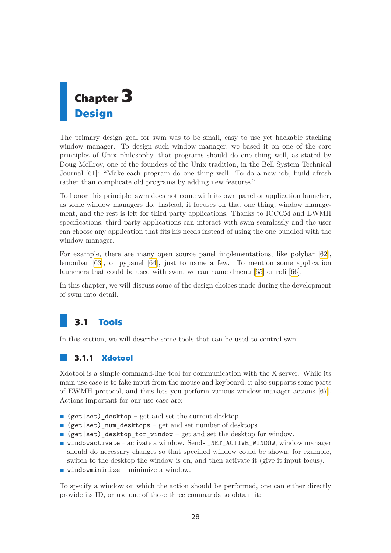<span id="page-35-1"></span><span id="page-35-0"></span>

The primary design goal for swm was to be small, easy to use yet hackable stacking window manager. To design such window manager, we based it on one of the core principles of Unix philosophy, that programs should do one thing well, as stated by Doug McIlroy, one of the founders of the Unix tradition, in the Bell System Technical Journal [\[61](#page-65-6)]: "Make each program do one thing well. To do a new job, build afresh rather than complicate old programs by adding new features."

To honor this principle, swm does not come with its own panel or application launcher, as some window managers do. Instead, it focuses on that one thing, window management, and the rest is left for third party applications. Thanks to ICCCM and EWMH specifications, third party applications can interact with swm seamlessly and the user can choose any application that fits his needs instead of using the one bundled with the window manager.

For example, there are many open source panel implementations, like polybar[[62](#page-65-7)], lemonbar [\[63](#page-65-8)], or pypanel [\[64](#page-65-9)], just to name a few. To mention some application launchers that could be used with swm, we can name dmenu [\[65](#page-65-10)] or rofi[[66\]](#page-65-11).

In this chapter, we will discuss some of the design choices made during the development of swm into detail.

# <span id="page-35-2"></span>**3.1 Tools**

In this section, we will describe some tools that can be used to control swm.

#### <span id="page-35-3"></span>**3.1.1 Xdotool**

Xdotool is a simple command-line tool for communication with the X server. While its main use case is to fake input from the mouse and keyboard, it also supports some parts of EWMH protocol, and thus lets you perform various window manager actions[[67](#page-65-12)]. Actions important for our use-case are:

- **.** (get|set)\_desktop get and set the current desktop.
- **.** (get|set)\_num\_desktops get and set number of desktops.
- **.** (get|set)\_desktop\_for\_window get and set the desktop for window.
- **.** windowactivate activate a window. Sends \_NET\_ACTIVE\_WINDOW, window manager should do necessary changes so that specified window could be shown, for example, switch to the desktop the window is on, and then activate it (give it input focus).
- **.** windowminimize minimize a window.

To specify a window on which the action should be performed, one can either directly provide its ID, or use one of those three commands to obtain it: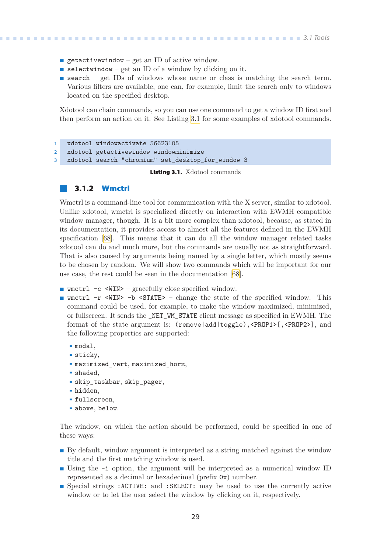- <span id="page-36-1"></span>**p** getactivewindow – get an ID of active window.
- **.** selectwindow get an ID of a window by clicking on it.
- **E** search get IDs of windows whose name or class is matching the search term. Various filters are available, one can, for example, limit the search only to windows located on the specified desktop.

Xdotool can chain commands, so you can use one command to get a window ID first and then perform an action on it. See Listing [3.1](#page-36-2) for some examples of xdotool commands.

```
1 xdotool windowactivate 56623105
2 xdotool getactivewindow windowminimize
3 xdotool search "chromium" set_desktop_for_window 3
```
<span id="page-36-2"></span>**Listing 3.1.** Xdotool commands

#### <span id="page-36-0"></span>**3.1.2 Wmctrl**

Wmctrl is a command-line tool for communication with the X server, similar to xdotool. Unlike xdotool, wmctrl is specialized directly on interaction with EWMH compatible window manager, though. It is a bit more complex than xdotool, because, as stated in its documentation, it provides access to almost all the features defined in the EWMH specification [\[68](#page-65-13)]. This means that it can do all the window manager related tasks xdotool can do and much more, but the commands are usually not as straightforward. That is also caused by arguments being named by a single letter, which mostly seems to be chosen by random. We will show two commands which will be important for our use case, the rest could be seen in the documentation[[68\]](#page-65-13).

- wmctrl -c <WIN> gracefully close specified window.
- **.** wmctrl -r <WIN> -b <STATE> change the state of the specified window. This command could be used, for example, to make the window maximized, minimized, or fullscreen. It sends the \_NET\_WM\_STATE client message as specified in EWMH. The format of the state argument is: (remove|add|toggle),<PROP1>[,<PROP2>], and the following properties are supported:

```
. modal,
```
- **.** sticky,
- **.** maximized\_vert, maximized\_horz,
- **.** shaded,
- **.** skip\_taskbar, skip\_pager,
- **.** hidden,
- **.** fullscreen,
- **.** above, below.

The window, on which the action should be performed, could be specified in one of these ways:

- **.** By default, window argument is interpreted as a string matched against the window title and the first matching window is used.
- **.** Using the -i option, the argument will be interpreted as a numerical window ID represented as a decimal or hexadecimal (prefix 0x) number.
- **.** Special strings : ACTIVE: and : SELECT: may be used to use the currently active window or to let the user select the window by clicking on it, respectively.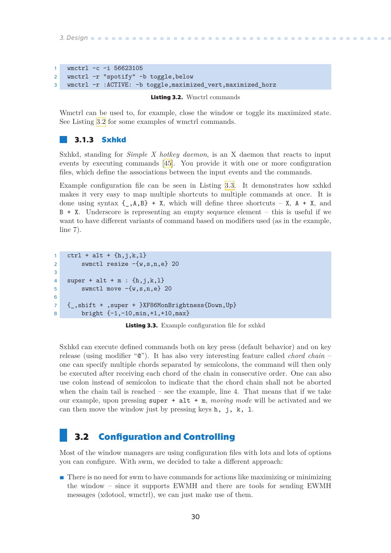```
3. Design .............................................
```

```
1 wmctrl -c -i 56623105
2 wmctrl -r "spotify" -b toggle,below
3 wmctrl -r :ACTIVE: -b toggle,maximized_vert,maximized_horz
```
<span id="page-37-3"></span>**Listing 3.2.** Wmctrl commands

Wmctrl can be used to, for example, close the window or toggle its maximized state. See Listing [3.2](#page-37-3) for some examples of wmctrl commands.

#### <span id="page-37-0"></span>**3.1.3 Sxhkd**

Sxhkd, standing for *Simple X hotkey daemon*, is an X daemon that reacts to input events by executing commands [\[45\]](#page-64-11). You provide it with one or more configuration files, which define the associations between the input events and the commands.

Example configuration file can be seen in Listing [3.3](#page-37-4). It demonstrates how sxhkd makes it very easy to map multiple shortcuts to multiple commands at once. It is done using syntax  $\{-, A, B\}$  + X, which will define three shortcuts – X, A + X, and B + X. Underscore is representing an empty sequence element – this is useful if we want to have different variants of command based on modifiers used (as in the example, line 7).

```
1 ctrl + alt + \{h, j, k, l\}2 swmctl resize -{w,s,n,e} 20
3
4 super + alt + m : \{h, j, k, l\}5 swmctl move -\{w,s,n,e\} 20
6
7 {_,shift + ,super + }XF86MonBrightness{Down,Up}
8 bright {-1,-10,min,+1,+10,max}
```
<span id="page-37-4"></span>**Listing 3.3.** Example configuration file for sxhkd

Sxhkd can execute defined commands both on key press (default behavior) and on key release (using modifier "@"). It has also very interesting feature called *chord chain* – one can specify multiple chords separated by semicolons, the command will then only be executed after receiving each chord of the chain in consecutive order. One can also use colon instead of semicolon to indicate that the chord chain shall not be aborted when the chain tail is reached – see the example, line 4. That means that if we take our example, upon pressing super + alt + m, *moving mode* will be activated and we can then move the window just by pressing keys  $h$ , j, k, 1.

# <span id="page-37-2"></span>**3.2 Configuration and Controlling**

Most of the window managers are using configuration files with lots and lots of options you can configure. With swm, we decided to take a different approach:

**T** There is no need for swm to have commands for actions like maximizing or minimizing the window – since it supports EWMH and there are tools for sending EWMH messages (xdotool, wmctrl), we can just make use of them.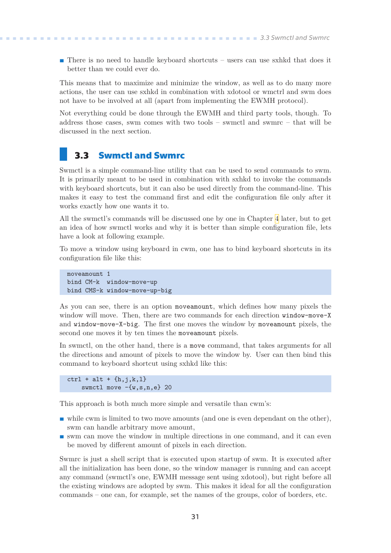<span id="page-38-1"></span>**There** is no need to handle keyboard shortcuts – users can use sxhkd that does it better than we could ever do.

This means that to maximize and minimize the window, as well as to do many more actions, the user can use sxhkd in combination with xdotool or wmctrl and swm does not have to be involved at all (apart from implementing the EWMH protocol).

Not everything could be done through the EWMH and third party tools, though. To address those cases, swm comes with two tools – swmctl and swmrc – that will be discussed in the next section.

### <span id="page-38-0"></span>**3.3 Swmctl and Swmrc**

Swmctl is a simple command-line utility that can be used to send commands to swm. It is primarily meant to be used in combination with sxhkd to invoke the commands with keyboard shortcuts, but it can also be used directly from the command-line. This makes it easy to test the command first and edit the configuration file only after it works exactly how one wants it to.

All the swmctl's commands will be discussed one by one in Chapter [4](#page-40-0) later, but to get an idea of how swmctl works and why it is better than simple configuration file, lets have a look at following example.

To move a window using keyboard in cwm, one has to bind keyboard shortcuts in its configuration file like this:

moveamount 1 bind CM-k window-move-up bind CMS-k window-move-up-big

As you can see, there is an option moveamount, which defines how many pixels the window will move. Then, there are two commands for each direction window-move-X and window-move-X-big. The first one moves the window by moveamount pixels, the second one moves it by ten times the moveamount pixels.

In swmctl, on the other hand, there is a move command, that takes arguments for all the directions and amount of pixels to move the window by. User can then bind this command to keyboard shortcut using sxhkd like this:

```
ctrl + alt + \{h, j, k, l\}swmctl move -{w,s,n,e} 20
```
This approach is both much more simple and versatile than cwm's:

- **.** while cwm is limited to two move amounts (and one is even dependant on the other), swm can handle arbitrary move amount,
- **.** swm can move the window in multiple directions in one command, and it can even be moved by different amount of pixels in each direction.

Swmrc is just a shell script that is executed upon startup of swm. It is executed after all the initialization has been done, so the window manager is running and can accept any command (swmctl's one, EWMH message sent using xdotool), but right before all the existing windows are adopted by swm. This makes it ideal for all the configuration commands – one can, for example, set the names of the groups, color of borders, etc.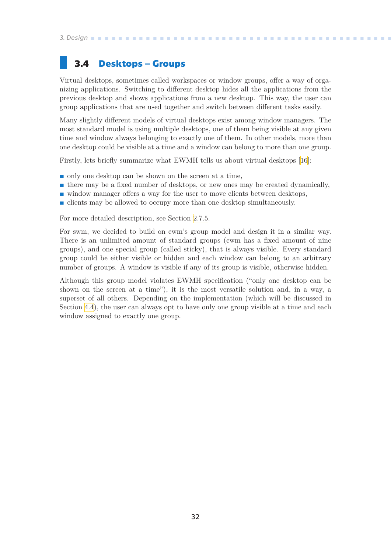<span id="page-39-1"></span>*3. Design* **.............................................**

# <span id="page-39-0"></span>**3.4 Desktops – Groups**

Virtual desktops, sometimes called workspaces or window groups, offer a way of organizing applications. Switching to different desktop hides all the applications from the previous desktop and shows applications from a new desktop. This way, the user can group applications that are used together and switch between different tasks easily.

Many slightly different models of virtual desktops exist among window managers. The most standard model is using multiple desktops, one of them being visible at any given time and window always belonging to exactly one of them. In other models, more than one desktop could be visible at a time and a window can belong to more than one group.

Firstly, lets briefly summarize what EWMH tells us about virtual desktops [\[16](#page-63-0)]:

- **.** only one desktop can be shown on the screen at a time,
- $\blacksquare$  only one desktop can be shown on the screen at a time,  $\blacksquare$  there may be a fixed number of desktops, or new ones may be created dynamically,  $\blacksquare$  there may be a fixed number of desktops, or new ones may be created dynamic window manager offers a way for the user to move clients between desktops,
- window manager offers a way for the user to move clients between desktops,<br>■ clients may be allowed to occupy more than one desktop simultaneously.
- 

For more detailed description, see Section [2.7.5.](#page-29-4)

For swm, we decided to build on cwm's group model and design it in a similar way. There is an unlimited amount of standard groups (cwm has a fixed amount of nine groups), and one special group (called sticky), that is always visible. Every standard group could be either visible or hidden and each window can belong to an arbitrary number of groups. A window is visible if any of its group is visible, otherwise hidden.

Although this group model violates EWMH specification ("only one desktop can be shown on the screen at a time"), it is the most versatile solution and, in a way, a superset of all others. Depending on the implementation (which will be discussed in Section [4.4\)](#page-46-0), the user can always opt to have only one group visible at a time and each window assigned to exactly one group.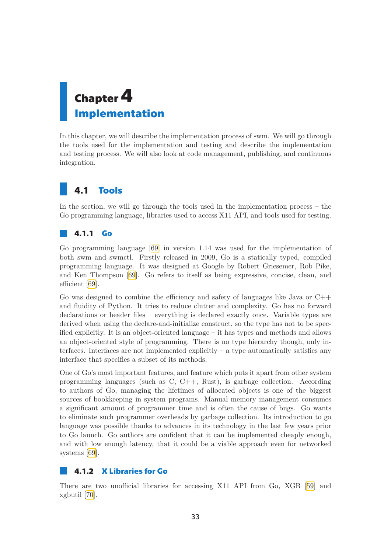# <span id="page-40-1"></span><span id="page-40-0"></span>**Chapter4 Implementation**

In this chapter, we will describe the implementation process of swm. We will go through the tools used for the implementation and testing and describe the implementation and testing process. We will also look at code management, publishing, and continuous integration.

# <span id="page-40-2"></span>**4.1 Tools**

In the section, we will go through the tools used in the implementation process – the Go programming language, libraries used to access X11 API, and tools used for testing.

## <span id="page-40-3"></span>**4.1.1 Go**

Go programming language[[69\]](#page-65-14) in version 1*.*14 was used for the implementation of both swm and swmctl. Firstly released in 2009, Go is a statically typed, compiled programming language. It was designed at Google by Robert Griesemer, Rob Pike, and Ken Thompson[[69\]](#page-65-14). Go refers to itself as being expressive, concise, clean, and efficient [\[69](#page-65-14)].

Go was designed to combine the efficiency and safety of languages like Java or  $C++$ and fluidity of Python. It tries to reduce clutter and complexity. Go has no forward declarations or header files – everything is declared exactly once. Variable types are derived when using the declare-and-initialize construct, so the type has not to be specified explicitly. It is an object-oriented language – it has types and methods and allows an object-oriented style of programming. There is no type hierarchy though, only interfaces. Interfaces are not implemented explicitly  $-$  a type automatically satisfies any interface that specifies a subset of its methods.

One of Go's most important features, and feature which puts it apart from other system programming languages (such as C, C++, Rust), is garbage collection. According to authors of Go, managing the lifetimes of allocated objects is one of the biggest sources of bookkeeping in system programs. Manual memory management consumes a significant amount of programmer time and is often the cause of bugs. Go wants to eliminate such programmer overheads by garbage collection. Its introduction to go language was possible thanks to advances in its technology in the last few years prior to Go launch. Go authors are confident that it can be implemented cheaply enough, and with low enough latency, that it could be a viable approach even for networked systems [\[69](#page-65-14)].

## <span id="page-40-4"></span>**4.1.2 X Libraries for Go**

There are two unofficial libraries for accessing X11 API from Go, XGB[[59\]](#page-65-4) and xgbutil [\[70](#page-65-15)].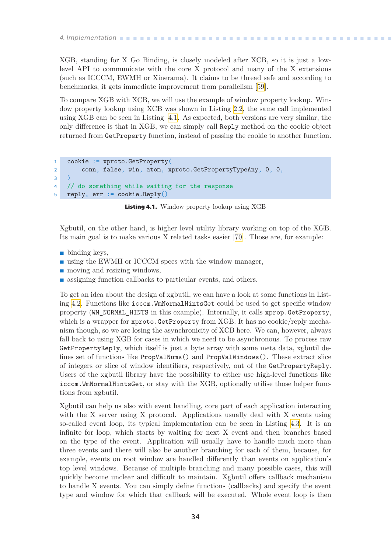<span id="page-41-1"></span>*4. Implementation* **.........................................**

XGB, standing for X Go Binding, is closely modeled after XCB, so it is just a lowlevel API to communicate with the core X protocol and many of the X extensions (such as ICCCM, EWMH or Xinerama). It claims to be thread safe and according to benchmarks, it gets immediate improvement from parallelism[[59\]](#page-65-4).

To compare XGB with XCB, we will use the example of window property lookup. Window property lookup using XCB was shown in Listing [2.2,](#page-22-3) the same call implemented using XGB can be seen in Listing [4.1](#page-41-0). As expected, both versions are very similar, the only difference is that in XGB, we can simply call Reply method on the cookie object returned from GetProperty function, instead of passing the cookie to another function.

```
1 cookie := xproto.GetProperty(
2 conn, false, win, atom, xproto.GetPropertyTypeAny, 0, 0,
3 )
4 // do something while waiting for the response
5 reply, err := cookie.Reply()
```
<span id="page-41-0"></span>**Listing 4.1.** Window property lookup using XGB

Xgbutil, on the other hand, is higher level utility library working on top of the XGB. Its main goal is to make various X related tasks easier[[70\]](#page-65-15). Those are, for example:

- **.** binding keys,
- $\blacksquare$  binding keys,  $\blacksquare$  using the EWMH or ICCCM specs with the window manager, **.** moving and resizing windows,
- 
- **.** moving and resizing windows,<br>**a** assigning function callbacks to particular events, and others.

To get an idea about the design of xgbutil, we can have a look at some functions in Listing [4.2.](#page-42-2) Functions like icccm.WmNormalHintsGet could be used to get specific window property (WM\_NORMAL\_HINTS in this example). Internally, it calls xprop.GetProperty, which is a wrapper for xproto.GetProperty from XGB. It has no cookie/reply mechanism though, so we are losing the asynchronicity of XCB here. We can, however, always fall back to using XGB for cases in which we need to be asynchronous. To process raw GetPropertyReply, which itself is just a byte array with some meta data, xgbutil defines set of functions like PropValNums() and PropValWindows(). These extract slice of integers or slice of window identifiers, respectively, out of the GetPropertyReply. Users of the xgbutil library have the possibility to either use high-level functions like icccm.WmNormalHintsGet, or stay with the XGB, optionally utilise those helper functions from xgbutil.

Xgbutil can help us also with event handling, core part of each application interacting with the X server using X protocol. Applications usually deal with X events using so-called event loop, its typical implementation can be seen in Listing [4.3](#page-42-3). It is an infinite for loop, which starts by waiting for next X event and then branches based on the type of the event. Application will usually have to handle much more than three events and there will also be another branching for each of them, because, for example, events on root window are handled differently than events on application's top level windows. Because of multiple branching and many possible cases, this will quickly become unclear and difficult to maintain. Xgbutil offers callback mechanism to handle X events. You can simply define functions (callbacks) and specify the event type and window for which that callback will be executed. Whole event loop is then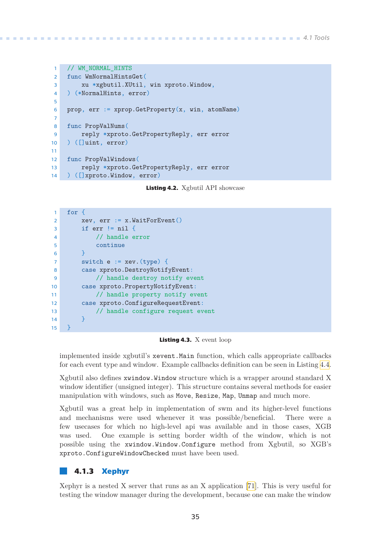```
1 // WM_NORMAL_HINTS
2 func WmNormalHintsGet(
3 xu *xgbutil.XUtil, win xproto.Window,
4 ) (*NormalHints, error)
5
6 prop, err := xprop. GetProperty(x, win, atomName)7
8 func PropValNums(
9 reply *xproto.GetPropertyReply, err error
10 ) ([]uint, error)
11
12 func PropValWindows(
13 reply *xproto.GetPropertyReply, err error
14 ) ([]xproto.Window, error)
```
<span id="page-42-2"></span>**Listing 4.2.** Xgbutil API showcase

```
1 for {
2 xev, err := x.WaitForEvent()
3 if err != nil {
4 // handle error
5 continue
6 }
7 switch e := xev.(type) {
8 case xproto.DestroyNotifyEvent:
9 // handle destroy notify event
10 case xproto.PropertyNotifyEvent:
11 // handle property notify event
12 case xproto.ConfigureRequestEvent:
13 // handle configure request event
14 }
15 }
```
<span id="page-42-3"></span>**Listing 4.3.** X event loop

implemented inside xgbutil's xevent.Main function, which calls appropriate callbacks for each event type and window. Example callbacks definition can be seen in Listing [4.4.](#page-43-4)

Xgbutil also defines xwindow.Window structure which is a wrapper around standard X window identifier (unsigned integer). This structure contains several methods for easier manipulation with windows, such as Move, Resize, Map, Unmap and much more.

Xgbutil was a great help in implementation of swm and its higher-level functions and mechanisms were used whenever it was possible/beneficial. There were a few usecases for which no high-level api was available and in those cases, XGB was used. One example is setting border width of the window, which is not possible using the xwindow.Window.Configure method from Xgbutil, so XGB's xproto.ConfigureWindowChecked must have been used.

#### <span id="page-42-0"></span>**4.1.3 Xephyr**

Xephyr is a nested X server that runs as an X application [\[71](#page-65-16)]. This is very useful for testing the window manager during the development, because one can make the window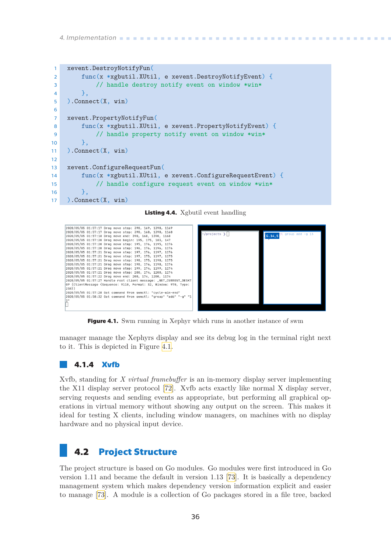```
1 xevent.DestroyNotifyFun(
2 func(x *xgbutil.XUtil, e xevent.DestroyNotifyEvent) {
3 // handle destroy notify event on window *win*
4 },
5 ).Connect(X, win)
6
7 xevent.PropertyNotifyFun(
8 func(x *xgbutil.XUtil, e xevent.PropertyNotifyEvent) {
9 // handle property notify event on window *win*
10 },
11 ).Connect(X, win)
12
13 xevent.ConfigureRequestFun(
14 func(x *xgbutil.XUtil, e xevent.ConfigureRequestEvent) {
15 // handle configure request event on window *win*
16 },
17 ).Connect(X, win)
```
<span id="page-43-4"></span>**Listing 4.4.** Xgbutil event handling

| 2020/05/05 01:57:17 Drag move step: 390, 169, 1390, 1169           |                            |                       |
|--------------------------------------------------------------------|----------------------------|-----------------------|
| 2020/05/05 01:57:17 Drag move step: 390, 168, 1390, 1168           | $\sim$ /projects $\rangle$ | $1$ group add $-q$ 13 |
| 2020/05/05 01:57:18 Drag move end: 390, 168, 1390, 1168            |                            | G.14, S               |
| 2020/05/05 01:57:20 Drag move begin: 195, 175, 183, 147            |                            |                       |
| 2020/05/05 01:57:20 Drag move step: 195, 176, 1195, 1176           |                            |                       |
| 2020/05/05 01:57:20 Drag move step: 196, 176, 1196, 1176           |                            |                       |
| 2020/05/05 01:57:21 Drag move step: 197, 176, 1197, 1176           |                            |                       |
| 2020/05/05 01:57:21 Drag move step: 197, 175, 1197, 1175           |                            |                       |
| 2020/05/05 01:57:21 Drag move step: 198, 175, 1198, 1175           |                            |                       |
| 2020/05/05 01:57:21 Drag move step: 198, 174, 1198, 1174           |                            |                       |
| 2020/05/05 01:57:21 Drag move step: 199, 174, 1199, 1174           |                            |                       |
| 2020/05/05 01:57:21 Drag move step: 200, 174, 1200, 1174           |                            |                       |
| 2020/05/05 01:57:22 Drag move end: 200, 174, 1200, 1174            |                            |                       |
| 2020/05/05 01:57:27 Handle root client message: _NET_CURRENT_DESKT |                            |                       |
| OP (ClientMessage {Sequence: 9110, Format: 32, Window: 970, Type:  |                            |                       |
| $238$ })                                                           |                            |                       |
| 2020/05/05 01:57:28 Got command from swmctl: "cycle-win-end"       |                            |                       |
| 2020/05/05 01:58:32 Got command from swmctl: "group" "add" "-g" "1 |                            |                       |
|                                                                    |                            |                       |
|                                                                    |                            |                       |
|                                                                    |                            |                       |

<span id="page-43-3"></span>**Figure 4.1.** Swm running in Xephyr which runs in another instance of swm

manager manage the Xephyrs display and see its debug log in the terminal right next to it. This is depicted in Figure [4.1.](#page-43-3)

#### <span id="page-43-0"></span>**4.1.4 Xvfb**

Xvfb, standing for *X virtual framebuffer* is an in-memory display server implementing the X11 display server protocol[[72\]](#page-65-17). Xvfb acts exactly like normal X display server, serving requests and sending events as appropriate, but performing all graphical operations in virtual memory without showing any output on the screen. This makes it ideal for testing X clients, including window managers, on machines with no display hardware and no physical input device.

## <span id="page-43-2"></span>**4.2 Project Structure**

The project structure is based on Go modules. Go modules were first introduced in Go version 1*.*11 and became the default in version 1*.*13 [\[73](#page-65-18)]. It is basically a dependency management system which makes dependency version information explicit and easier to manage [\[73](#page-65-18)]. A module is a collection of Go packages stored in a file tree, backed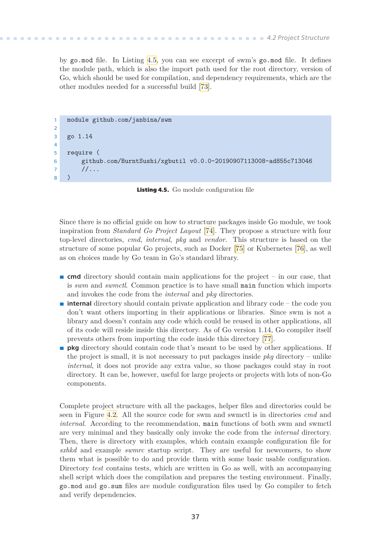<span id="page-44-1"></span>by go.mod file. In Listing [4.5](#page-44-0), you can see excerpt of swm's go.mod file. It defines the module path, which is also the import path used for the root directory, version of Go, which should be used for compilation, and dependency requirements, which are the other modules needed for a successful build[[73\]](#page-65-18).

```
1 module github.com/janbina/swm
2
3 go 1.14
4
5 require (
6 github.com/BurntSushi/xgbutil v0.0.0-20190907113008-ad855c713046
7 / / \ldots8 )
```
<span id="page-44-0"></span>**Listing 4.5.** Go module configuration file

Since there is no official guide on how to structure packages inside Go module, we took inspiration from *Standard Go Project Layout* [\[74](#page-65-19)]. They propose a structure with four top-level directories, *cmd*, *internal*, *pkg* and *vendor*. This structure is based on the structure of some popular Go projects, such as Docker [\[75](#page-65-20)] or Kubernetes[[76\]](#page-66-0), as well as on choices made by Go team in Go's standard library.

- **...** cmd directory should contain main applications for the project in our case, that is *swm* and *swmctl*. Common practice is to have small main function which imports and invokes the code from the *internal* and *pkg* directories.
- **.** internal directory should contain private application and library code the code you don't want others importing in their applications or libraries. Since swm is not a library and doesn't contain any code which could be reused in other applications, all of its code will reside inside this directory. As of Go version 1*.*14, Go compiler itself prevents others from importing the code inside this directory [\[77\]](#page-66-1).
- **pkg** directory should contain code that's meant to be used by other applications. If the project is small, it is not necessary to put packages inside *pkg* directory – unlike *internal*, it does not provide any extra value, so those packages could stay in root directory. It can be, however, useful for large projects or projects with lots of non-Go components.

Complete project structure with all the packages, helper files and directories could be seen in Figure [4.2.](#page-45-2) All the source code for swm and swmctl is in directories *cmd* and *internal*. According to the recommendation, main functions of both swm and swmctl are very minimal and they basically only invoke the code from the *internal* directory. Then, there is directory with examples, which contain example configuration file for *sxhkd* and example *swmrc* startup script. They are useful for newcomers, to show them what is possible to do and provide them with some basic usable configuration. Directory *test* contains tests, which are written in Go as well, with an accompanying shell script which does the compilation and prepares the testing environment. Finally, go.mod and go.sum files are module configuration files used by Go compiler to fetch and verify dependencies.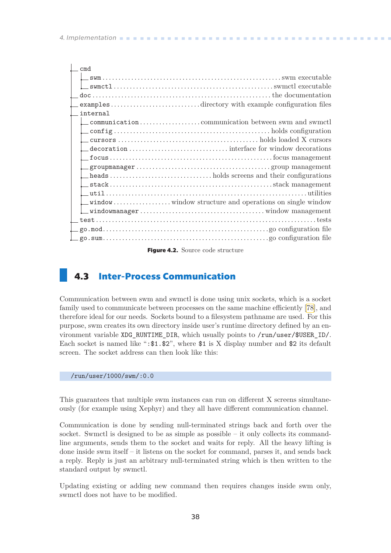<span id="page-45-1"></span>

| cm <sub>d</sub>                                    |
|----------------------------------------------------|
|                                                    |
|                                                    |
|                                                    |
| examplesdirectory with example configuration files |
| internal                                           |
|                                                    |
| $\overbrace{\phantom{xxxxx}}$ configuration        |
|                                                    |
|                                                    |
|                                                    |
|                                                    |
|                                                    |
|                                                    |
|                                                    |
|                                                    |
|                                                    |
|                                                    |
|                                                    |
|                                                    |
|                                                    |

<span id="page-45-2"></span>**Figure 4.2.** Source code structure

# <span id="page-45-0"></span>**4.3 Inter-Process Communication**

Communication between swm and swmctl is done using unix sockets, which is a socket family used to communicate between processes on the same machine efficiently[[78\]](#page-66-2), and therefore ideal for our needs. Sockets bound to a filesystem pathname are used. For this purpose, swm creates its own directory inside user's runtime directory defined by an environment variable XDG\_RUNTIME\_DIR, which usually points to /run/user/\$USER\_ID/. Each socket is named like ": $$1.$  $$2$ ", where  $$1$  is X display number and  $$2$  its default screen. The socket address can then look like this:

#### /run/user/1000/swm/:0.0

This guarantees that multiple swm instances can run on different X screens simultaneously (for example using Xephyr) and they all have different communication channel.

Communication is done by sending null-terminated strings back and forth over the socket. Swmctl is designed to be as simple as possible – it only collects its commandline arguments, sends them to the socket and waits for reply. All the heavy lifting is done inside swm itself – it listens on the socket for command, parses it, and sends back a reply. Reply is just an arbitrary null-terminated string which is then written to the standard output by swmctl.

Updating existing or adding new command then requires changes inside swm only, swmctl does not have to be modified.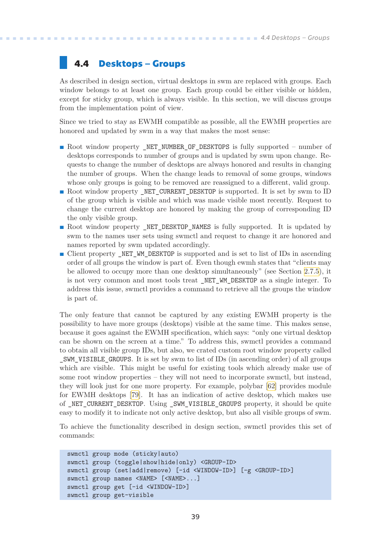## <span id="page-46-1"></span><span id="page-46-0"></span>**4.4 Desktops – Groups**

As described in design section, virtual desktops in swm are replaced with groups. Each window belongs to at least one group. Each group could be either visible or hidden, except for sticky group, which is always visible. In this section, we will discuss groups from the implementation point of view.

Since we tried to stay as EWMH compatible as possible, all the EWMH properties are honored and updated by swm in a way that makes the most sense:

- **Root window property NET NUMBER OF DESKTOPS is fully supported number of** desktops corresponds to number of groups and is updated by swm upon change. Requests to change the number of desktops are always honored and results in changing the number of groups. When the change leads to removal of some groups, windows whose only groups is going to be removed are reassigned to a different, valid group. **.** Root window property \_NET\_CURRENT\_DESKTOP is supported. It is set by swm to ID
- of the group which is visible and which was made visible most recently. Request to change the current desktop are honored by making the group of corresponding ID the only visible group.
- **Root window property \_NET\_DESKTOP\_NAMES** is fully supported. It is updated by swm to the names user sets using swmctl and request to change it are honored and names reported by swm updated accordingly.
- **.** Client property \_NET\_WM\_DESKTOP is supported and is set to list of IDs in ascending order of all groups the window is part of. Even though ewmh states that "clients may be allowed to occupy more than one desktop simultaneously" (see Section [2.7.5\)](#page-29-4), it is not very common and most tools treat \_NET\_WM\_DESKTOP as a single integer. To address this issue, swmctl provides a command to retrieve all the groups the window is part of.

The only feature that cannot be captured by any existing EWMH property is the possibility to have more groups (desktops) visible at the same time. This makes sense, because it goes against the EWMH specification, which says: "only one virtual desktop can be shown on the screen at a time." To address this, swmctl provides a command to obtain all visible group IDs, but also, we crated custom root window property called \_SWM\_VISIBLE\_GROUPS. It is set by swm to list of IDs (in ascending order) of all groups which are visible. This might be useful for existing tools which already make use of some root window properties – they will not need to incorporate swmctl, but instead, they will look just for one more property. For example, polybar[[62\]](#page-65-7) provides module for EWMH desktops [\[79](#page-66-3)]. It has an indication of active desktop, which makes use of \_NET\_CURRENT\_DESKTOP. Using \_SWM\_VISIBLE\_GROUPS property, it should be quite easy to modify it to indicate not only active desktop, but also all visible groups of swm.

To achieve the functionality described in design section, swmctl provides this set of commands:

```
swmctl group mode (sticky|auto)
swmctl group (toggle|show|hide|only) <GROUP-ID>
swmctl group (set|add|remove) [-id <WINDOW-ID>] [-g <GROUP-ID>]
swmctl group names <NAME> [<NAME>...]
swmctl group get [-id <WINDOW-ID>]
swmctl group get-visible
```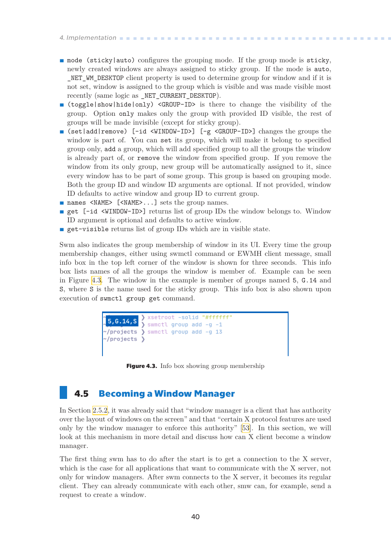<span id="page-47-1"></span>*4. Implementation* **.........................................**

- **.** mode (sticky|auto) configures the grouping mode. If the group mode is sticky, newly created windows are always assigned to sticky group. If the mode is auto, NET WM\_DESKTOP client property is used to determine group for window and if it is not set, window is assigned to the group which is visible and was made visible most recently (same logic as \_NET\_CURRENT\_DESKTOP).
- **.** (toggle|show|hide|only) <GROUP-ID> is there to change the visibility of the group. Option only makes only the group with provided ID visible, the rest of groups will be made invisible (except for sticky group).
- **.** (set|add|remove) [-id <WINDOW-ID>] [-g <GROUP-ID>] changes the groups the window is part of. You can set its group, which will make it belong to specified group only, add a group, which will add specified group to all the groups the window is already part of, or remove the window from specified group. If you remove the window from its only group, new group will be automatically assigned to it, since every window has to be part of some group. This group is based on grouping mode. Both the group ID and window ID arguments are optional. If not provided, window ID defaults to active window and group ID to current group. **.** names <NAME> [<NAME>...] sets the group names.
- 
- **n** names <NAME> [<NAME>...] sets the group names.<br> **p** get [-id <WINDOW-ID>] returns list of group IDs the window belongs to. Window ID argument is optional and defaults to active window.
- **.** get-visible returns list of group IDs which are in visible state.

Swm also indicates the group membership of window in its UI. Every time the group membership changes, either using swmctl command or EWMH client message, small info box in the top left corner of the window is shown for three seconds. This info box lists names of all the groups the window is member of. Example can be seen in Figure [4.3.](#page-47-2) The window in the example is member of groups named 5, G.14 and S, where S is the name used for the sticky group. This info box is also shown upon execution of swmctl group get command.

| $\sim$ /projects $\rangle$ | $\left( \frac{1}{5}, 6, 14, 8 \right)$ xsetroot -solid "#ffffff"<br>$\sim$ /projects $\sum$ swmctl group add -g 13 |  |
|----------------------------|--------------------------------------------------------------------------------------------------------------------|--|
|                            |                                                                                                                    |  |

<span id="page-47-2"></span>**Figure 4.3.** Info box showing group membership

## <span id="page-47-0"></span>**4.5 Becoming a Window Manager**

In Section [2.5.2,](#page-19-3) it was already said that "window manager is a client that has authority over the layout of windows on the screen" and that "certain X protocol features are used only by the window manager to enforce this authority"[[53\]](#page-64-19). In this section, we will look at this mechanism in more detail and discuss how can X client become a window manager.

The first thing swm has to do after the start is to get a connection to the X server, which is the case for all applications that want to communicate with the X server, not only for window managers. After swm connects to the X server, it becomes its regular client. They can already communicate with each other, smw can, for example, send a request to create a window.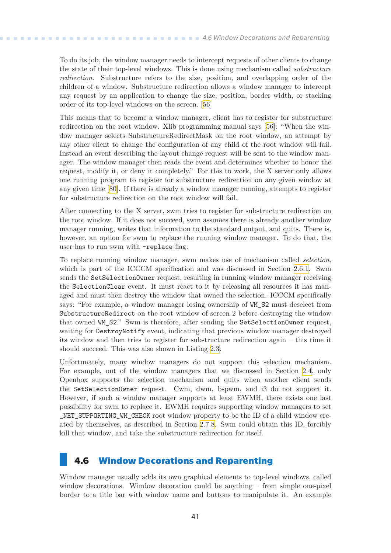<span id="page-48-1"></span>To do its job, the window manager needs to intercept requests of other clients to change the state of their top-level windows. This is done using mechanism called *substructure redirection*. Substructure refers to the size, position, and overlapping order of the children of a window. Substructure redirection allows a window manager to intercept any request by an application to change the size, position, border width, or stacking order of its top-level windows on the screen.[[56\]](#page-65-1)

This means that to become a window manager, client has to register for substructure redirection on the root window. Xlib programming manual says [\[56](#page-65-1)]: "When the window manager selects SubstructureRedirectMask on the root window, an attempt by any other client to change the configuration of any child of the root window will fail. Instead an event describing the layout change request will be sent to the window manager. The window manager then reads the event and determines whether to honor the request, modify it, or deny it completely." For this to work, the X server only allows one running program to register for substructure redirection on any given window at any given time[[80](#page-66-4)]. If there is already a window manager running, attempts to register for substructure redirection on the root window will fail.

After connecting to the X server, swm tries to register for substructure redirection on the root window. If it does not succeed, swm assumes there is already another window manager running, writes that information to the standard output, and quits. There is, however, an option for swm to replace the running window manager. To do that, the user has to run swm with –replace flag.

To replace running window manager, swm makes use of mechanism called *selection*, which is part of the ICCCM specification and was discussed in Section [2.6.1.](#page-23-0) Swm sends the SetSelectionOwner request, resulting in running window manager receiving the SelectionClear event. It must react to it by releasing all resources it has managed and must then destroy the window that owned the selection. ICCCM specifically says: "For example, a window manager losing ownership of WM\_S2 must deselect from SubstructureRedirect on the root window of screen 2 before destroying the window that owned WM\_S2." Swm is therefore, after sending the SetSelectionOwner request, waiting for DestroyNotify event, indicating that previous window manager destroyed its window and then tries to register for substructure redirection again – this time it should succeed. This was also shown in Listing [2.3](#page-24-0).

Unfortunately, many window managers do not support this selection mechanism. For example, out of the window managers that we discussed in Section [2.4,](#page-13-0) only Openbox supports the selection mechanism and quits when another client sends the SetSelectionOwner request. Cwm, dwm, bspwm, and i3 do not support it. However, if such a window manager supports at least EWMH, there exists one last possibility for swm to replace it. EWMH requires supporting window managers to set NET SUPPORTING WM CHECK root window property to be the ID of a child window created by themselves, as described in Section [2.7.8.](#page-30-3) Swm could obtain this ID, forcibly kill that window, and take the substructure redirection for itself.

## <span id="page-48-0"></span>**4.6 Window Decorations and Reparenting**

Window manager usually adds its own graphical elements to top-level windows, called window decorations. Window decoration could be anything – from simple one-pixel border to a title bar with window name and buttons to manipulate it. An example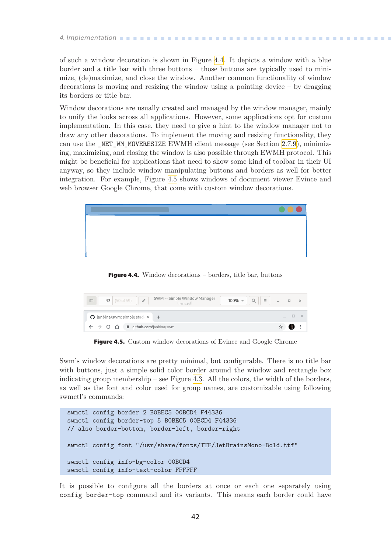# <span id="page-49-1"></span>*4. Implementation* **.........................................**

of such a window decoration is shown in Figure [4.4](#page-49-0). It depicts a window with a blue border and a title bar with three buttons – those buttons are typically used to minimize, (de)maximize, and close the window. Another common functionality of window decorations is moving and resizing the window using a pointing device – by dragging its borders or title bar.

Window decorations are usually created and managed by the window manager, mainly to unify the looks across all applications. However, some applications opt for custom implementation. In this case, they need to give a hint to the window manager not to draw any other decorations. To implement the moving and resizing functionality, they can use the \_NET\_WM\_MOVERESIZE EWMH client message (see Section [2.7.9\)](#page-31-0), minimizing, maximizing, and closing the window is also possible through EWMH protocol. This might be beneficial for applications that need to show some kind of toolbar in their UI anyway, so they include window manipulating buttons and borders as well for better integration. For example, Figure [4.5](#page-49-2) shows windows of document viewer Evince and web browser Google Chrome, that come with custom window decorations.



**Figure 4.4.** Window decorations – borders, title bar, buttons

<span id="page-49-0"></span>

| SWM -- Simple Window Manager<br>42 (50 of 59)<br>v<br>$100\%$ =<br>$\equiv$<br>thesis.pdf |  | $\mathbb{X}$ |
|-------------------------------------------------------------------------------------------|--|--------------|
| $\bigcirc$ janbina/swm: simple stack $\times$ +                                           |  |              |
| $\leftarrow$ $\rightarrow$ C' $\hat{\Omega}$ a github.com/janbina/swm                     |  |              |

<span id="page-49-2"></span>**Figure 4.5.** Custom window decorations of Evince and Google Chrome

Swm's window decorations are pretty minimal, but configurable. There is no title bar with buttons, just a simple solid color border around the window and rectangle box indicating group membership – see Figure [4.3.](#page-47-2) All the colors, the width of the borders, as well as the font and color used for group names, are customizable using following swmctl's commands:

```
swmctl config border 2 B0BEC5 00BCD4 F44336
swmctl config border-top 5 B0BEC5 00BCD4 F44336
// also border-bottom, border-left, border-right
swmctl config font "/usr/share/fonts/TTF/JetBrainsMono-Bold.ttf"
swmctl config info-bg-color 00BCD4
swmctl config info-text-color FFFFFF
```
It is possible to configure all the borders at once or each one separately using config border-top command and its variants. This means each border could have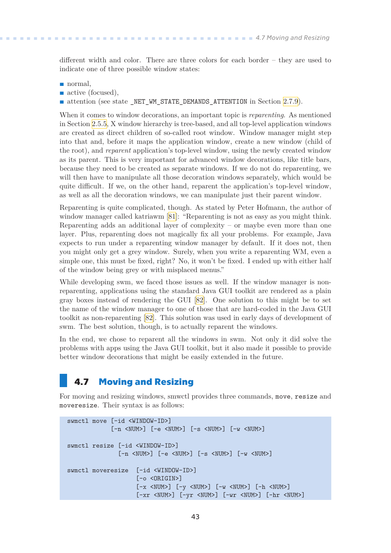<span id="page-50-1"></span>different width and color. There are three colors for each border – they are used to indicate one of three possible window states:

- **.** normal,
- active (focused),

 $\blacksquare$  attention (see state \_NET\_WM\_STATE\_DEMANDS\_ATTENTION in Section [2.7.9](#page-31-0)).

When it comes to window decorations, an important topic is *reparenting*. As mentioned in Section [2.5.5,](#page-20-2) X window hierarchy is tree-based, and all top-level application windows are created as direct children of so-called root window. Window manager might step into that and, before it maps the application window, create a new window (child of the root), and *reparent* application's top-level window, using the newly created window as its parent. This is very important for advanced window decorations, like title bars, because they need to be created as separate windows. If we do not do reparenting, we will then have to manipulate all those decoration windows separately, which would be quite difficult. If we, on the other hand, reparent the application's top-level window, as well as all the decoration windows, we can manipulate just their parent window.

Reparenting is quite complicated, though. As stated by Peter Hofmann, the author of window manager called katriawm[[81](#page-66-5)]: "Reparenting is not as easy as you might think. Reparenting adds an additional layer of complexity – or maybe even more than one layer. Plus, reparenting does not magically fix all your problems. For example, Java expects to run under a reparenting window manager by default. If it does not, then you might only get a grey window. Surely, when you write a reparenting WM, even a simple one, this must be fixed, right? No, it won't be fixed. I ended up with either half of the window being grey or with misplaced menus."

While developing swm, we faced those issues as well. If the window manager is nonreparenting, applications using the standard Java GUI toolkit are rendered as a plain gray boxes instead of rendering the GUI[[82\]](#page-66-6). One solution to this might be to set the name of the window manager to one of those that are hard-coded in the Java GUI toolkit as non-reparenting[[82\]](#page-66-6). This solution was used in early days of development of swm. The best solution, though, is to actually reparent the windows.

In the end, we chose to reparent all the windows in swm. Not only it did solve the problems with apps using the Java GUI toolkit, but it also made it possible to provide better window decorations that might be easily extended in the future.

## <span id="page-50-0"></span>**4.7 Moving and Resizing**

For moving and resizing windows, smwctl provides three commands, move, resize and moveresize. Their syntax is as follows:

```
swmctl move [-id <WINDOW-ID>]
             [-n <NUM>] [-e <NUM>] [-s <NUM>] [-w <NUM>]
swmctl resize [-id <WINDOW-ID>]
                [-n <NUM>] [-e <NUM>] [-s <NUM>] [-w <NUM>]
swmctl moveresize [-id <WINDOW-ID>]
                     [-o <ORIGIN>]
                     [-x \quadlt; NUM>] [-y \quadlt; NUM>] [-w \quadlt; NUM>] [-h \quadlt; NUM>][-xr <NUM>] [-yr <NUM>] [-wr <NUM>] [-hr <NUM>]
```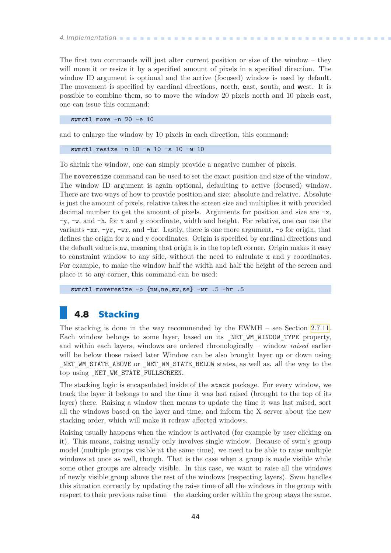<span id="page-51-1"></span>*4. Implementation* **.........................................**

The first two commands will just alter current position or size of the window – they will move it or resize it by a specified amount of pixels in a specified direction. The window ID argument is optional and the active (focused) window is used by default. The movement is specified by cardinal directions, north, east, south, and west. It is possible to combine them, so to move the window 20 pixels north and 10 pixels east, one can issue this command:

swmctl move -n 20 -e 10

and to enlarge the window by 10 pixels in each direction, this command:

swmctl resize -n 10 -e 10 -s 10 -w 10

To shrink the window, one can simply provide a negative number of pixels.

The moveresize command can be used to set the exact position and size of the window. The window ID argument is again optional, defaulting to active (focused) window. There are two ways of how to provide position and size: absolute and relative. Absolute is just the amount of pixels, relative takes the screen size and multiplies it with provided decimal number to get the amount of pixels. Arguments for position and size are  $-x$ , -y, -w, and -h, for x and y coordinate, width and height. For relative, one can use the variants  $-xr$ ,  $-yr$ ,  $-wr$ , and  $-hr$ . Lastly, there is one more argument,  $-$ o for origin, that defines the origin for x and y coordinates. Origin is specified by cardinal directions and the default value is nw, meaning that origin is in the top left corner. Origin makes it easy to constraint window to any side, without the need to calculate x and y coordinates. For example, to make the window half the width and half the height of the screen and place it to any corner, this command can be used:

swmctl moveresize -o {nw,ne,sw,se} -wr .5 -hr .5

## <span id="page-51-0"></span>**4.8 Stacking**

The stacking is done in the way recommended by the EWMH – see Section [2.7.11.](#page-34-0) Each window belongs to some layer, based on its NET WM WINDOW TYPE property, and within each layers, windows are ordered chronologically – window *raised* earlier will be below those raised later Window can be also brought layer up or down using \_NET\_WM\_STATE\_ABOVE or \_NET\_WM\_STATE\_BELOW states, as well as. all the way to the top using \_NET\_WM\_STATE\_FULLSCREEN.

The stacking logic is encapsulated inside of the stack package. For every window, we track the layer it belongs to and the time it was last raised (brought to the top of its layer) there. Raising a window then means to update the time it was last raised, sort all the windows based on the layer and time, and inform the X server about the new stacking order, which will make it redraw affected windows.

Raising usually happens when the window is activated (for example by user clicking on it). This means, raising usually only involves single window. Because of swm's group model (multiple groups visible at the same time), we need to be able to raise multiple windows at once as well, though. That is the case when a group is made visible while some other groups are already visible. In this case, we want to raise all the windows of newly visible group above the rest of the windows (respecting layers). Swm handles this situation correctly by updating the raise time of all the windows in the group with respect to their previous raise time – the stacking order within the group stays the same.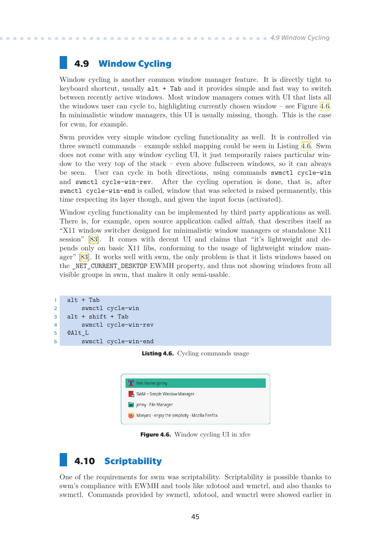## <span id="page-52-1"></span><span id="page-52-0"></span>**4.9 Window Cycling**

Window cycling is another common window manager feature. It is directly tight to keyboard shortcut, usually alt + Tab and it provides simple and fast way to switch between recently active windows. Most window managers comes with UI that lists all the windows user can cycle to, highlighting currently chosen window – see Figure [4.6.](#page-52-3) In minimalistic window managers, this UI is usually missing, though. This is the case for cwm, for example.

Swm provides very simple window cycling functionality as well. It is controlled via three swmctl commands – example sxhkd mapping could be seen in Listing [4.6.](#page-52-4) Swm does not come with any window cycling UI, it just temporarily raises particular window to the very top of the stack – even above fullscreen windows, so it can always be seen. User can cycle in both directions, using commands swmctl cycle-win and swmctl cycle-win-rev. After the cycling operation is done, that is, after swmctl cycle-win-end is called, window that was selected is raised permanently, this time respecting its layer though, and given the input focus (activated).

Window cycling functionality can be implemented by third party applications as well. There is, for example, open source application called *alttab*, that describes itself as "X11 window switcher designed for minimalistic window managers or standalone X11 session" [\[83](#page-66-7)]. It comes with decent UI and claims that "it's lightweight and depends only on basic X11 libs, conforming to the usage of lightweight window manager"[[83\]](#page-66-7). It works well with swm, the only problem is that it lists windows based on the \_NET\_CURRENT\_DESKTOP EWMH property, and thus not showing windows from all visible groups in swm, that makes it only semi-usable.

```
1 alt + Tab
2 swmctl cycle-win
3 alt + shift + Tab
4 swmctl cycle-win-rev
5 @Alt_L
6 swmctl cycle-win-end
```
<span id="page-52-4"></span><span id="page-52-3"></span>**Listing 4.6.** Cycling commands usage



**Figure 4.6.** Window cycling UI in xfce

# <span id="page-52-2"></span>**4.10 Scriptability**

One of the requirements for swm was scriptability. Scriptability is possible thanks to swm's compliance with EWMH and tools like xdotool and wmctrl, and also thanks to swmctl. Commands provided by swmctl, xdotool, and wmctrl were showed earlier in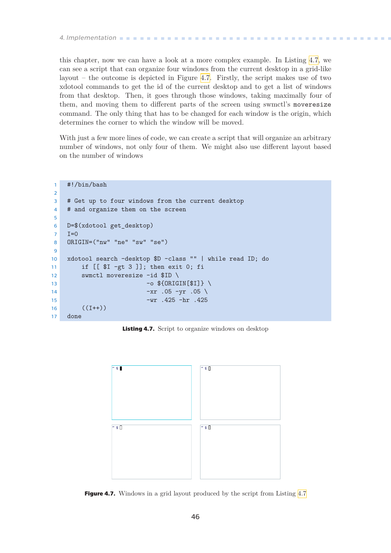<span id="page-53-1"></span>this chapter, now we can have a look at a more complex example. In Listing [4.7,](#page-53-2) we can see a script that can organize four windows from the current desktop in a grid-like layout – the outcome is depicted in Figure [4.7](#page-53-0). Firstly, the script makes use of two xdotool commands to get the id of the current desktop and to get a list of windows from that desktop. Then, it goes through those windows, taking maximally four of them, and moving them to different parts of the screen using swmctl's moveresize command. The only thing that has to be changed for each window is the origin, which determines the corner to which the window will be moved.

With just a few more lines of code, we can create a script that will organize an arbitrary number of windows, not only four of them. We might also use different layout based on the number of windows

```
1 #!/bin/bash
2
3 # Get up to four windows from the current desktop
4 # and organize them on the screen
5
6 D=$(xdotool get_desktop)
7 I=08 ORIGIN=("nw" "ne" "sw" "se")
9
10 xdotool search –desktop $D –class "" | while read ID; do
11 if [[ $I -gt 3 ]]; then exit 0; fi
12 swmctl moveresize -id $ID \
13 -o ${0RIGIN[$I]} \
14 - x r .05 - y r .05 \sqrt{ }-wr .425 -hr .425 -42516 ((I++)17 done
```
<span id="page-53-2"></span>**Listing 4.7.** Script to organize windows on desktop



<span id="page-53-0"></span>**Figure [4.7](#page-53-2).** Windows in a grid layout produced by the script from Listing 4.7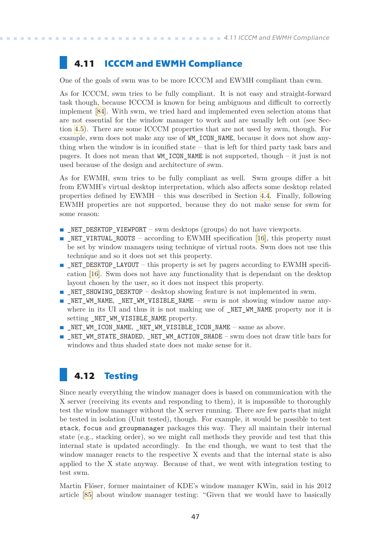# <span id="page-54-1"></span><span id="page-54-0"></span>**4.11 ICCCM and EWMH Compliance**

One of the goals of swm was to be more ICCCM and EWMH compliant than cwm.

As for ICCCM, swm tries to be fully compliant. It is not easy and straight-forward task though, because ICCCM is known for being ambiguous and difficult to correctly implement[[84\]](#page-66-8). With swm, we tried hard and implemented even selection atoms that are not essential for the window manager to work and are usually left out (see Section [4.5\)](#page-47-0). There are some ICCCM properties that are not used by swm, though. For example, swm does not make any use of WM\_ICON\_NAME, because it does not show anything when the window is in iconified state – that is left for third party task bars and pagers. It does not mean that WM\_ICON\_NAME is not supported, though – it just is not used because of the design and architecture of swm.

As for EWMH, swm tries to be fully compliant as well. Swm groups differ a bit from EWMH's virtual desktop interpretation, which also affects some desktop related properties defined by EWMH – this was described in Section [4.4.](#page-46-0) Finally, following EWMH properties are not supported, because they do not make sense for swm for some reason:

- **EXECUTER IN EXECUTE VIEWPORT** swm desktops (groups) do not have viewports.
- **.**NET\_VIRTUAL\_ROOTS according to EWMH specification [[16\]](#page-63-0), this property must be set by window managers using technique of virtual roots. Swm does not use this technique and so it does not set this property.
- **EXECUTE:** NET DESKTOP LAYOUT this property is set by pagers according to EWMH specification[[16](#page-63-0)]. Swm does not have any functionality that is dependant on the desktop layout chosen by the user, so it does not inspect this property.
- **EXECUTER 19 INCO EXAMPLE SHOWING DESKTOP** desktop showing feature is not implemented in swm.
- **.** NET WM\_NAME, NET WM\_VISIBLE\_NAME swm is not showing window name anywhere in its UI and thus it is not making use of \_NET\_WM\_NAME property nor it is setting \_NET\_WM\_VISIBLE\_NAME property.
- $\blacksquare$  NET WM\_ICON\_NAME, NET WM\_VISIBLE\_ICON\_NAME same as above.
- **.** NET WM STATE SHADED, NET WM ACTION SHADE swm does not draw title bars for windows and thus shaded state does not make sense for it.

# <span id="page-54-2"></span>**4.12 Testing**

Since nearly everything the window manager does is based on communication with the X server (receiving its events and responding to them), it is impossible to thoroughly test the window manager without the X server running. There are few parts that might be tested in isolation (Unit tested), though. For example, it would be possible to test stack, focus and groupmanager packages this way. They all maintain their internal state (e.g., stacking order), so we might call methods they provide and test that this internal state is updated accordingly. In the end though, we want to test that the window manager reacts to the respective X events and that the internal state is also applied to the X state anyway. Because of that, we went with integration testing to test swm.

Martin Flöser, former maintainer of KDE's window manager KWin, said in his 2012 article [\[85](#page-66-9)] about window manager testing: "Given that we would have to basically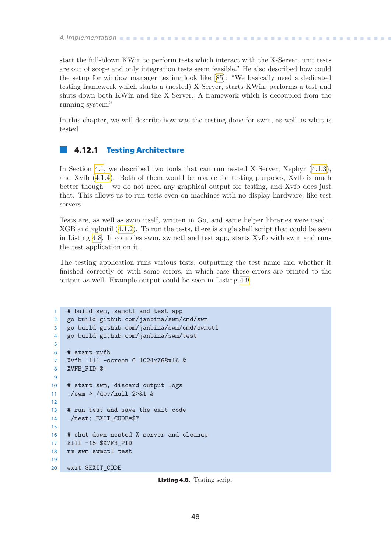<span id="page-55-1"></span>*4. Implementation* **.........................................**

start the full-blown KWin to perform tests which interact with the X-Server, unit tests are out of scope and only integration tests seem feasible." He also described how could the setup for window manager testing look like[[85\]](#page-66-9): "We basically need a dedicated testing framework which starts a (nested) X Server, starts KWin, performs a test and shuts down both KWin and the X Server. A framework which is decoupled from the running system."

In this chapter, we will describe how was the testing done for swm, as well as what is tested.

#### <span id="page-55-0"></span>**4.12.1 Testing Architecture**

In Section [4.1](#page-40-2), we described two tools that can run nested X Server, Xephyr([4.1.3](#page-42-0)), and Xvfb [\(4.1.4\)](#page-43-0). Both of them would be usable for testing purposes, Xvfb is much better though – we do not need any graphical output for testing, and Xvfb does just that. This allows us to run tests even on machines with no display hardware, like test servers.

Tests are, as well as swm itself, written in Go, and same helper libraries were used – XGB and xgbutil([4.1.2](#page-40-4)). To run the tests, there is single shell script that could be seen in Listing [4.8.](#page-55-2) It compiles swm, swmctl and test app, starts Xvfb with swm and runs the test application on it.

The testing application runs various tests, outputting the test name and whether it finished correctly or with some errors, in which case those errors are printed to the output as well. Example output could be seen in Listing [4.9](#page-56-3).

```
1 # build swm, swmctl and test app
2 go build github.com/janbina/swm/cmd/swm
3 go build github.com/janbina/swm/cmd/swmctl
4 go build github.com/janbina/swm/test
5
6 # start xvfb
7 Xvfb :111 -screen 0 1024x768x16 &
8 XVFB_PID=$!
9
10 # start swm, discard output logs
11 ./swm > /dev/null 2>&1 &
12
13 # run test and save the exit code
14 ./test; EXIT_CODE=$?
15
16 # shut down nested X server and cleanup
17 kill -15 $XVFB_PID
18 rm swm swmctl test
19
20 exit $EXIT_CODE
```
<span id="page-55-2"></span>**Listing 4.8.** Testing script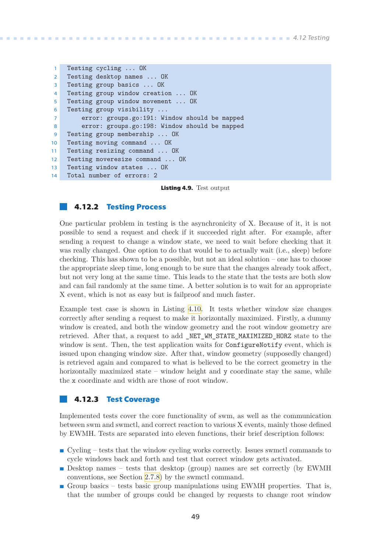```
1 Testing cycling ... OK
2 Testing desktop names ... OK
3 Testing group basics ... OK
4 Testing group window creation ... OK
5 Testing group window movement ... OK
6 Testing group visibility ...
7 error: groups.go:191: Window should be mapped
8 error: groups.go:198: Window should be mapped
9 Testing group membership ... OK
10 Testing moving command ... OK
11 Testing resizing command ... OK
12 Testing moveresize command ... OK
13 Testing window states ... OK
14 Total number of errors: 2
```
<span id="page-56-3"></span>**Listing 4.9.** Test output

#### <span id="page-56-0"></span>**4.12.2 Testing Process**

One particular problem in testing is the asynchronicity of X. Because of it, it is not possible to send a request and check if it succeeded right after. For example, after sending a request to change a window state, we need to wait before checking that it was really changed. One option to do that would be to actually wait (i.e., sleep) before checking. This has shown to be a possible, but not an ideal solution – one has to choose the appropriate sleep time, long enough to be sure that the changes already took affect, but not very long at the same time. This leads to the state that the tests are both slow and can fail randomly at the same time. A better solution is to wait for an appropriate X event, which is not as easy but is failproof and much faster.

Example test case is shown in Listing [4.10.](#page-57-0) It tests whether window size changes correctly after sending a request to make it horizontally maximized. Firstly, a dummy window is created, and both the window geometry and the root window geometry are retrieved. After that, a request to add \_NET\_WM\_STATE\_MAXIMIZED\_HORZ state to the window is sent. Then, the test application waits for ConfigureNotify event, which is issued upon changing window size. After that, window geometry (supposedly changed) is retrieved again and compared to what is believed to be the correct geometry in the horizontally maximized state – window height and y coordinate stay the same, while the x coordinate and width are those of root window.

#### <span id="page-56-2"></span>**4.12.3 Test Coverage**

Implemented tests cover the core functionality of swm, as well as the communication between swm and swmctl, and correct reaction to various X events, mainly those defined by EWMH. Tests are separated into eleven functions, their brief description follows:

- **.** Cycling tests that the window cycling works correctly. Issues swmctl commands to cycle windows back and forth and test that correct window gets activated.
- **.** Desktop names tests that desktop (group) names are set correctly (by EWMH) conventions, see Section [2.7.8](#page-30-3)) by the swmctl command.
- **.** Group basics tests basic group manipulations using EWMH properties. That is, that the number of groups could be changed by requests to change root window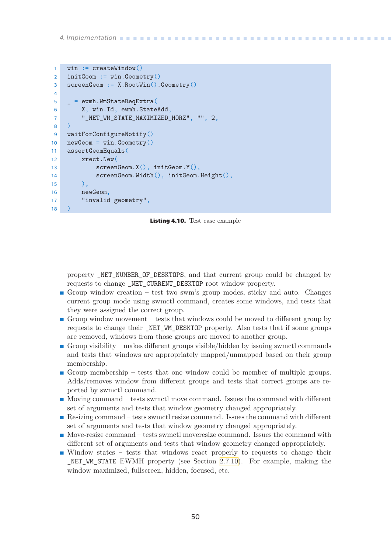<span id="page-57-1"></span>*4. Implementation* **.........................................**

```
1 win := createWindow()
2 initGeom := win.Geometry()
3 screenGeom := X.RootWin().Geometry()
4
5 _ = ewmh.WmStateReqExtra(
6 X, win.Id, ewmh.StateAdd,
7 " NET WM STATE MAXIMIZED HORZ", "", 2,
8 )
9 waitForConfigureNotify()
10 newGeom = win.Geometry()
11 assertGeomEquals(
12 xrect.New(
13 screenGeom.X(), initGeom.Y(),
14 screenGeom.Width(), initGeom.Height(),
\overline{\phantom{a}} ),
16 newGeom,
17 "invalid geometry",
18 )
```
<span id="page-57-0"></span>**Listing 4.10.** Test case example

property NET NUMBER OF DESKTOPS, and that current group could be changed by requests to change \_NET\_CURRENT\_DESKTOP root window property.

- **.** Group window creation test two swm's group modes, sticky and auto. Changes current group mode using swmctl command, creates some windows, and tests that they were assigned the correct group.
- **.** Group window movement tests that windows could be moved to different group by requests to change their \_NET\_WM\_DESKTOP property. Also tests that if some groups are removed, windows from those groups are moved to another group.
- **.** Group visibility makes different groups visible/hidden by issuing swmctl commands and tests that windows are appropriately mapped/unmapped based on their group membership.
- **.** Group membership tests that one window could be member of multiple groups. Adds/removes window from different groups and tests that correct groups are reported by swmctl command.
- **.** Moving command tests swmctl move command. Issues the command with different set of arguments and tests that window geometry changed appropriately.
- **.** Resizing command tests swmctl resize command. Issues the command with different set of arguments and tests that window geometry changed appropriately.
- **.** Move-resize command tests swmctl moveresize command. Issues the command with different set of arguments and tests that window geometry changed appropriately.
- **.** Window states tests that windows react properly to requests to change their NET WM STATE EWMH property (see Section [2.7.10\)](#page-31-2). For example, making the window maximized, fullscreen, hidden, focused, etc.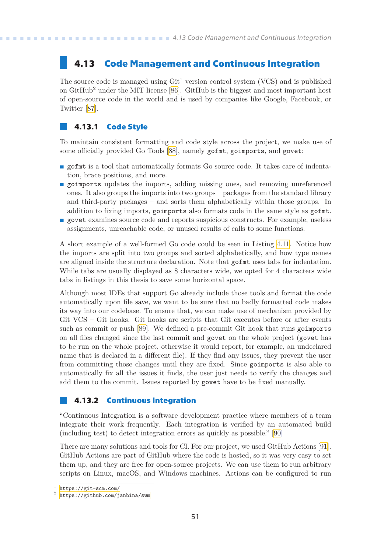# <span id="page-58-1"></span><span id="page-58-0"></span>**4.13 Code Management and Continuous Integration**

The source code is managed using  $\mathrm{Git}^1$  version control system (VCS) and is published on  $GitHub<sup>2</sup>$  under the MIT license [\[86](#page-66-10)]. GitHub is the biggest and most important host of open-source code in the world and is used by companies like Google, Facebook, or Twitter [\[87](#page-66-11)].

#### <span id="page-58-2"></span>**4.13.1 Code Style**

To maintain consistent formatting and code style across the project, we make use of some officially provided Go Tools[[88\]](#page-66-12), namely gofmt, goimports, and govet:

- **p** gofmt is a tool that automatically formats Go source code. It takes care of indentation, brace positions, and more.
- **property** updates the imports, adding missing ones, and removing unreferenced ones. It also groups the imports into two groups – packages from the standard library and third-party packages – and sorts them alphabetically within those groups. In addition to fixing imports, goimports also formats code in the same style as gofmt.
- **p** govet examines source code and reports suspicious constructs. For example, useless assignments, unreachable code, or unused results of calls to some functions.

A short example of a well-formed Go code could be seen in Listing [4.11](#page-59-2). Notice how the imports are split into two groups and sorted alphabetically, and how type names are aligned inside the structure declaration. Note that gofmt uses tabs for indentation. While tabs are usually displayed as 8 characters wide, we opted for 4 characters wide tabs in listings in this thesis to save some horizontal space.

Although most IDEs that support Go already include those tools and format the code automatically upon file save, we want to be sure that no badly formatted code makes its way into our codebase. To ensure that, we can make use of mechanism provided by Git VCS – Git hooks. Git hooks are scripts that Git executes before or after events such as commit or push [\[89](#page-66-13)]. We defined a pre-commit Git hook that runs goimports on all files changed since the last commit and govet on the whole project (govet has to be run on the whole project, otherwise it would report, for example, an undeclared name that is declared in a different file). If they find any issues, they prevent the user from committing those changes until they are fixed. Since goimports is also able to automatically fix all the issues it finds, the user just needs to verify the changes and add them to the commit. Issues reported by govet have to be fixed manually.

#### <span id="page-58-3"></span>**4.13.2 Continuous Integration**

"Continuous Integration is a software development practice where members of a team integrate their work frequently. Each integration is verified by an automated build (including test) to detect integration errors as quickly as possible."[[90\]](#page-66-14)

There are many solutions and tools for CI. For our project, we used GitHub Actions[[91](#page-66-15)]. GitHub Actions are part of GitHub where the code is hosted, so it was very easy to set them up, and they are free for open-source projects. We can use them to run arbitrary scripts on Linux, macOS, and Windows machines. Actions can be configured to run

<sup>1</sup> <https://git-scm.com/>

 $^2$  <https://github.com/janbina/swm>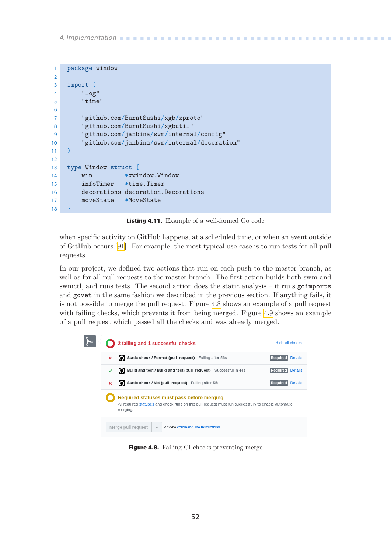<span id="page-59-1"></span>*4. Implementation* **.........................................**

```
1 package window
2
3 import (
4 "log"
5 "time"
6
7 "github.com/BurntSushi/xgb/xproto"
8 "github.com/BurntSushi/xgbutil"
9 "github.com/janbina/swm/internal/config"
10 "github.com/janbina/swm/internal/decoration"
11 )
12
13 type Window struct {
14 win *xwindow.Window
15 infoTimer *time.Timer
16 decorations decoration.Decorations
17 moveState *MoveState
18 }
```
<span id="page-59-2"></span>**Listing 4.11.** Example of a well-formed Go code

when specific activity on GitHub happens, at a scheduled time, or when an event outside of GitHub occurs[[91\]](#page-66-15). For example, the most typical use-case is to run tests for all pull requests.

In our project, we defined two actions that run on each push to the master branch, as well as for all pull requests to the master branch. The first action builds both swm and swmctl, and runs tests. The second action does the static analysis – it runs goimports and govet in the same fashion we described in the previous section. If anything fails, it is not possible to merge the pull request. Figure [4.8](#page-59-0) shows an example of a pull request with failing checks, which prevents it from being merged. Figure [4.9](#page-60-0) shows an example of a pull request which passed all the checks and was already merged.

<span id="page-59-0"></span>

**Figure 4.8.** Failing CI checks preventing merge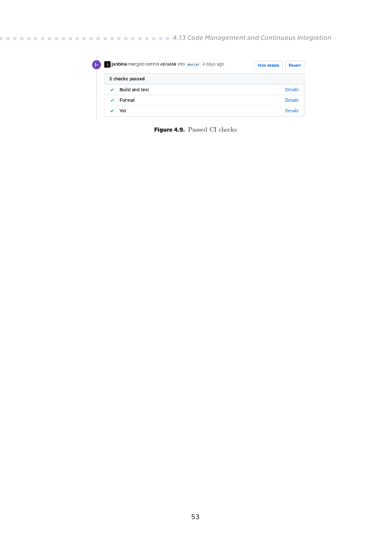**..........................** *4.13 Code Management and Continuous Integration*

<span id="page-60-1"></span>

| ુમ | <b>g janbina</b> merged commit c67a558 into master 4 days ago | <b>Hide details</b><br><b>Revert</b> |
|----|---------------------------------------------------------------|--------------------------------------|
|    | 3 checks passed                                               |                                      |
|    | <b>Build and test</b><br>$\checkmark$                         | <b>Details</b>                       |
|    | Format                                                        | <b>Details</b>                       |
|    | Vet                                                           | <b>Details</b>                       |

<span id="page-60-0"></span>**Figure 4.9.** Passed CI checks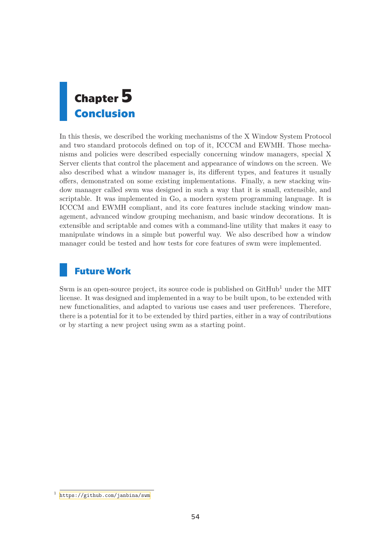<span id="page-61-1"></span><span id="page-61-0"></span>

In this thesis, we described the working mechanisms of the X Window System Protocol and two standard protocols defined on top of it, ICCCM and EWMH. Those mechanisms and policies were described especially concerning window managers, special X Server clients that control the placement and appearance of windows on the screen. We also described what a window manager is, its different types, and features it usually offers, demonstrated on some existing implementations. Finally, a new stacking window manager called swm was designed in such a way that it is small, extensible, and scriptable. It was implemented in Go, a modern system programming language. It is ICCCM and EWMH compliant, and its core features include stacking window management, advanced window grouping mechanism, and basic window decorations. It is extensible and scriptable and comes with a command-line utility that makes it easy to manipulate windows in a simple but powerful way. We also described how a window manager could be tested and how tests for core features of swm were implemented.

# **Future Work**

Swm is an open-source project, its source code is published on  $\text{GitHub}^1$  under the MIT license. It was designed and implemented in a way to be built upon, to be extended with new functionalities, and adapted to various use cases and user preferences. Therefore, there is a potential for it to be extended by third parties, either in a way of contributions or by starting a new project using swm as a starting point.

<sup>&</sup>lt;sup>1</sup> <https://github.com/janbina/swm>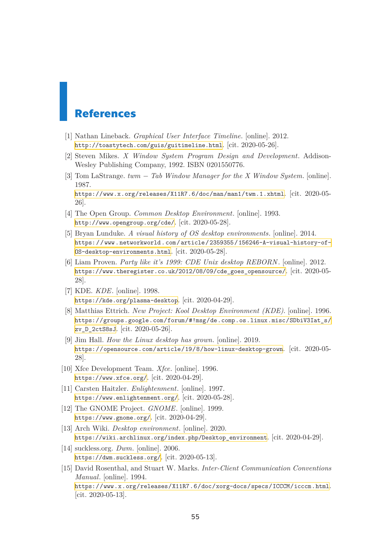# <span id="page-62-0"></span>**References**

- <span id="page-62-1"></span>[1] Nathan Lineback. *Graphical User Interface Timeline*. [online]. 2012. <http://toastytech.com/guis/guitimeline.html>. [cit. 2020-05-26].
- <span id="page-62-2"></span>[2] Steven Mikes. *X Window System Program Design and Development*. Addison-Wesley Publishing Company, 1992. ISBN 0201550776.
- <span id="page-62-3"></span>[3] Tom LaStrange. *twm − Tab Window Manager for the X Window System*. [online]. 1987.

<https://www.x.org/releases/X11R7.6/doc/man/man1/twm.1.xhtml>. [cit. 2020-05- 26].

- <span id="page-62-4"></span>[4] The Open Group. *Common Desktop Environment*. [online]. 1993. <http://www.opengroup.org/cde/>. [cit. 2020-05-28].
- <span id="page-62-5"></span>[5] Bryan Lunduke. *A visual history of OS desktop environments*. [online]. 2014. [https: / / www . networkworld . com / article / 2359355 / 156246-A-visual-history-of-](https://www.networkworld.com/article/2359355/156246-A-visual-history-of-OS-desktop-environments.html)[OS-desktop-environments.html](https://www.networkworld.com/article/2359355/156246-A-visual-history-of-OS-desktop-environments.html). [cit. 2020-05-28].
- <span id="page-62-6"></span>[6] Liam Proven. *Party like it's 1999: CDE Unix desktop REBORN*. [online]. 2012. [https://www.theregister.co.uk/2012/08/09/cde\\_goes\\_opensource/](https://www.theregister.co.uk/2012/08/09/cde_goes_opensource/). [cit. 2020-05- 28].
- <span id="page-62-7"></span>[7] KDE. *KDE*. [online]. 1998. <https://kde.org/plasma-desktop>. [cit. 2020-04-29].
- <span id="page-62-8"></span>[8] Matthias Ettrich. *New Project: Kool Desktop Environment (KDE)*. [online]. 1996. [https://groups.google.com/forum/#!msg/de.comp.os.linux.misc/SDbiV3Iat\\_s/](https://groups.google.com/forum/#!msg/de.comp.os.linux.misc/SDbiV3Iat_s/zv_D_2ctS8sJ) [zv\\_D\\_2ctS8sJ](https://groups.google.com/forum/#!msg/de.comp.os.linux.misc/SDbiV3Iat_s/zv_D_2ctS8sJ). [cit. 2020-05-26].
- <span id="page-62-9"></span>[9] Jim Hall. *How the Linux desktop has grown*. [online]. 2019. <https://opensource.com/article/19/8/how-linux-desktop-grown>. [cit. 2020-05- 28].
- <span id="page-62-10"></span>[10] Xfce Development Team. *Xfce*. [online]. 1996. <https://www.xfce.org/>. [cit. 2020-04-29].
- <span id="page-62-11"></span>[11] Carsten Haitzler. *Enlightenment*. [online]. 1997. <https://www.enlightenment.org/>. [cit. 2020-05-28].
- <span id="page-62-12"></span>[12] The GNOME Project. *GNOME*. [online]. 1999. <https://www.gnome.org/>. [cit. 2020-04-29].
- <span id="page-62-13"></span>[13] Arch Wiki. *Desktop environment*. [online]. 2020. [https://wiki.archlinux.org/index.php/Desktop\\_environment](https://wiki.archlinux.org/index.php/Desktop_environment). [cit. 2020-04-29].
- <span id="page-62-14"></span>[14] suckless.org. *Dwm*. [online]. 2006. <https://dwm.suckless.org/>. [cit. 2020-05-13].
- <span id="page-62-15"></span>[15] David Rosenthal, and Stuart W. Marks. *Inter-Client Communication Conventions Manual*. [online]. 1994. <https://www.x.org/releases/X11R7.6/doc/xorg-docs/specs/ICCCM/icccm.html>. [cit. 2020-05-13].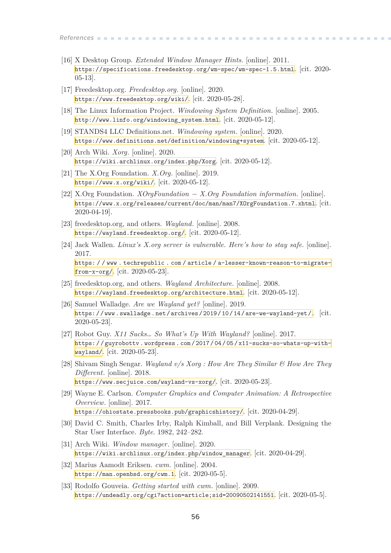*References* **............................................**

- <span id="page-63-0"></span>[16] X Desktop Group. *Extended Window Manager Hints*. [online]. 2011. <https://specifications.freedesktop.org/wm-spec/wm-spec-1.5.html>. [cit. 2020- 05-13].
- <span id="page-63-1"></span>[17] Freedesktop.org. *Freedesktop.org*. [online]. 2020. <https://www.freedesktop.org/wiki/>. [cit. 2020-05-28].
- <span id="page-63-2"></span>[18] The Linux Information Project. *Windowing System Definition*. [online]. 2005. [http://www.linfo.org/windowing\\_system.html](http://www.linfo.org/windowing_system.html). [cit. 2020-05-12].
- <span id="page-63-3"></span>[19] STANDS4 LLC Definitions.net. *Windowing system*. [online]. 2020. <https://www.definitions.net/definition/windowing+system>. [cit. 2020-05-12].
- <span id="page-63-4"></span>[20] Arch Wiki. *Xorg*. [online]. 2020. <https://wiki.archlinux.org/index.php/Xorg>. [cit. 2020-05-12].
- <span id="page-63-5"></span>[21] The X.Org Foundation. *X.Org*. [online]. 2019. <https://www.x.org/wiki/>. [cit. 2020-05-12].
- <span id="page-63-6"></span>[22] X.Org Foundation. *XOrgFoundation − X.Org Foundation information*. [online]. <https://www.x.org/releases/current/doc/man/man7/XOrgFoundation.7.xhtml>. [cit. 2020-04-19].
- <span id="page-63-7"></span>[23] freedesktop.org, and others. *Wayland*. [online]. 2008. <https://wayland.freedesktop.org/>. [cit. 2020-05-12].
- <span id="page-63-8"></span>[24] Jack Wallen. *Linux's X.org server is vulnerable. Here's how to stay safe.* [online]. 2017. [https: / / www . techrepublic . com / article / a-lesser-known-reason-to-migrate](https://www.techrepublic.com/article/a-lesser-known-reason-to-migrate-from-x-org/)[from-x-org/](https://www.techrepublic.com/article/a-lesser-known-reason-to-migrate-from-x-org/). [cit. 2020-05-23].
- <span id="page-63-9"></span>[25] freedesktop.org, and others. *Wayland Architecture*. [online]. 2008. <https://wayland.freedesktop.org/architecture.html>. [cit. 2020-05-12].
- <span id="page-63-10"></span>[26] Samuel Walladge. *Are we Wayland yet?* [online]. 2019. [https: / / www . swalladge . net / archives / 2019 / 10 / 14 / are-we-wayland-yet /](https://www.swalladge.net/archives/2019/10/14/are-we-wayland-yet/). [cit. 2020-05-23].
- <span id="page-63-11"></span>[27] Robot Guy. *X11 Sucks… So What's Up With Wayland?* [online]. 2017. [https: / / guyrobottv . wordpress . com / 2017 / 04 / 05 / x11-sucks-so-whats-up-with](https://guyrobottv.wordpress.com/2017/04/05/x11-sucks-so-whats-up-with-wayland/)[wayland/](https://guyrobottv.wordpress.com/2017/04/05/x11-sucks-so-whats-up-with-wayland/). [cit. 2020-05-23].
- <span id="page-63-12"></span>[28] Shivam Singh Sengar. *Wayland v/s Xorg : How Are They Similar & How Are They Different*. [online]. 2018. <https://www.secjuice.com/wayland-vs-xorg/>. [cit. 2020-05-23].
- <span id="page-63-13"></span>[29] Wayne E. Carlson. *Computer Graphics and Computer Animation: A Retrospective Overview*. [online]. 2017. <https://ohiostate.pressbooks.pub/graphicshistory/>. [cit. 2020-04-29].
- <span id="page-63-14"></span>[30] David C. Smith, Charles Irby, Ralph Kimball, and Bill Verplank. Designing the Star User Interface. *Byte*. 1982, 242–282.
- <span id="page-63-15"></span>[31] Arch Wiki. *Window manager*. [online]. 2020. [https://wiki.archlinux.org/index.php/window\\_manager](https://wiki.archlinux.org/index.php/window_manager). [cit. 2020-04-29].
- <span id="page-63-16"></span>[32] Marius Aamodt Eriksen. *cwm*. [online]. 2004. <https://man.openbsd.org/cwm.1>. [cit. 2020-05-5].
- <span id="page-63-17"></span>[33] Rodolfo Gouveia. *Getting started with cwm*. [online]. 2009. <https://undeadly.org/cgi?action=article;sid=20090502141551>. [cit. 2020-05-5].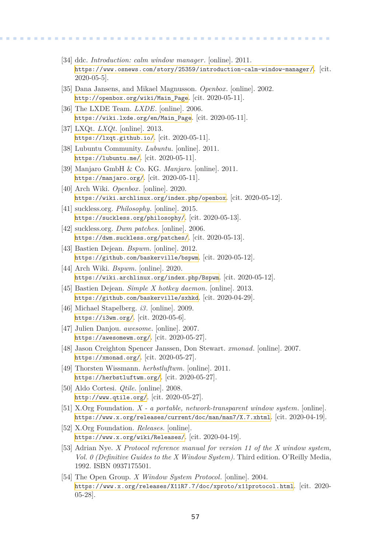- <span id="page-64-0"></span>[34] ddc. *Introduction: calm window manager*. [online]. 2011. <https://www.osnews.com/story/25359/introduction-calm-window-manager/>. [cit. 2020-05-5].
- <span id="page-64-1"></span>[35] Dana Jansens, and Mikael Magnusson. *Openbox*. [online]. 2002. [http://openbox.org/wiki/Main\\_Page](http://openbox.org/wiki/Main_Page). [cit. 2020-05-11].

**.................................................**

- <span id="page-64-2"></span>[36] The LXDE Team. *LXDE*. [online]. 2006. [https://wiki.lxde.org/en/Main\\_Page](https://wiki.lxde.org/en/Main_Page). [cit. 2020-05-11].
- <span id="page-64-3"></span>[37] LXQt. *LXQt*. [online]. 2013. <https://lxqt.github.io/>. [cit. 2020-05-11].
- <span id="page-64-4"></span>[38] Lubuntu Community. *Lubuntu*. [online]. 2011. <https://lubuntu.me/>. [cit. 2020-05-11].
- <span id="page-64-5"></span>[39] Manjaro GmbH & Co. KG. *Manjaro*. [online]. 2011. <https://manjaro.org/>. [cit. 2020-05-11].
- <span id="page-64-6"></span>[40] Arch Wiki. *Openbox*. [online]. 2020. <https://wiki.archlinux.org/index.php/openbox>. [cit. 2020-05-12].
- <span id="page-64-7"></span>[41] suckless.org. *Philosophy*. [online]. 2015. <https://suckless.org/philosophy/>. [cit. 2020-05-13].
- <span id="page-64-8"></span>[42] suckless.org. *Dwm patches*. [online]. 2006. <https://dwm.suckless.org/patches/>. [cit. 2020-05-13].
- <span id="page-64-9"></span>[43] Bastien Dejean. *Bspwm*. [online]. 2012. <https://github.com/baskerville/bspwm>. [cit. 2020-05-12].
- <span id="page-64-10"></span>[44] Arch Wiki. *Bspwm*. [online]. 2020. <https://wiki.archlinux.org/index.php/Bspwm>. [cit. 2020-05-12].
- <span id="page-64-11"></span>[45] Bastien Dejean. *Simple X hotkey daemon*. [online]. 2013. <https://github.com/baskerville/sxhkd>. [cit. 2020-04-29].
- <span id="page-64-12"></span>[46] Michael Stapelberg. *i3*. [online]. 2009. <https://i3wm.org/>. [cit. 2020-05-6].
- <span id="page-64-13"></span>[47] Julien Danjou. *awesome*. [online]. 2007. <https://awesomewm.org/>. [cit. 2020-05-27].
- <span id="page-64-14"></span>[48] Jason Creighton Spencer Janssen, Don Stewart. *xmonad*. [online]. 2007. <https://xmonad.org/>. [cit. 2020-05-27].
- <span id="page-64-15"></span>[49] Thorsten Wissmann. *herbstluftwm*. [online]. 2011. <https://herbstluftwm.org/>. [cit. 2020-05-27].
- <span id="page-64-16"></span>[50] Aldo Cortesi. *Qtile*. [online]. 2008. <http://www.qtile.org/>. [cit. 2020-05-27].
- <span id="page-64-17"></span>[51] X.Org Foundation. *X - a portable, network-transparent window system*. [online]. <https://www.x.org/releases/current/doc/man/man7/X.7.xhtml>. [cit. 2020-04-19].
- <span id="page-64-18"></span>[52] X.Org Foundation. *Releases*. [online]. <https://www.x.org/wiki/Releases/>. [cit. 2020-04-19].
- <span id="page-64-19"></span>[53] Adrian Nye. *X Protocol reference manual for version 11 of the X window system, Vol. 0 (Definitive Guides to the X Window System)*. Third edition. O'Reilly Media, 1992. ISBN 0937175501.
- <span id="page-64-20"></span>[54] The Open Group. *X Window System Protocol*. [online]. 2004. <https://www.x.org/releases/X11R7.7/doc/xproto/x11protocol.html>. [cit. 2020- 05-28].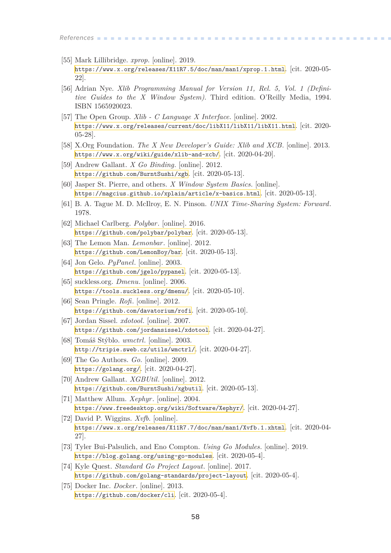- <span id="page-65-0"></span>[55] Mark Lillibridge. *xprop*. [online]. 2019. <https://www.x.org/releases/X11R7.5/doc/man/man1/xprop.1.html>. [cit. 2020-05- 22].
- <span id="page-65-1"></span>[56] Adrian Nye. *Xlib Programming Manual for Version 11, Rel. 5, Vol. 1 (Definitive Guides to the X Window System)*. Third edition. O'Reilly Media, 1994. ISBN 1565920023.
- <span id="page-65-2"></span>[57] The Open Group. *Xlib - C Language X Interface*. [online]. 2002. <https://www.x.org/releases/current/doc/libX11/libX11/libX11.html>. [cit. 2020- 05-28].
- <span id="page-65-3"></span>[58] X.Org Foundation. *The X New Developer's Guide: Xlib and XCB*. [online]. 2013. <https://www.x.org/wiki/guide/xlib-and-xcb/>. [cit. 2020-04-20].
- <span id="page-65-4"></span>[59] Andrew Gallant. *X Go Binding*. [online]. 2012. <https://github.com/BurntSushi/xgb>. [cit. 2020-05-13].
- <span id="page-65-5"></span>[60] Jasper St. Pierre, and others. *X Window System Basics*. [online]. <https://magcius.github.io/xplain/article/x-basics.html>. [cit. 2020-05-13].
- <span id="page-65-6"></span>[61] B. A. Tague M. D. McIlroy, E. N. Pinson. *UNIX Time-Sharing System: Forward*. 1978.
- <span id="page-65-7"></span>[62] Michael Carlberg. *Polybar*. [online]. 2016. <https://github.com/polybar/polybar>. [cit. 2020-05-13].
- <span id="page-65-8"></span>[63] The Lemon Man. *Lemonbar*. [online]. 2012. <https://github.com/LemonBoy/bar>. [cit. 2020-05-13].
- <span id="page-65-9"></span>[64] Jon Gelo. *PyPanel*. [online]. 2003. <https://github.com/jgelo/pypanel>. [cit. 2020-05-13].
- <span id="page-65-10"></span>[65] suckless.org. *Dmenu*. [online]. 2006. <https://tools.suckless.org/dmenu/>. [cit. 2020-05-10].
- <span id="page-65-11"></span>[66] Sean Pringle. *Rofi*. [online]. 2012. <https://github.com/davatorium/rofi>. [cit. 2020-05-10].
- <span id="page-65-12"></span>[67] Jordan Sissel. *xdotool*. [online]. 2007. <https://github.com/jordansissel/xdotool>. [cit. 2020-04-27].
- <span id="page-65-13"></span>[68] Tomáš Stýblo. *wmctrl*. [online]. 2003. <http://tripie.sweb.cz/utils/wmctrl/>. [cit. 2020-04-27].
- <span id="page-65-14"></span>[69] The Go Authors. *Go*. [online]. 2009. <https://golang.org/>. [cit. 2020-04-27].
- <span id="page-65-15"></span>[70] Andrew Gallant. *XGBUtil*. [online]. 2012. <https://github.com/BurntSushi/xgbutil>. [cit. 2020-05-13].
- <span id="page-65-16"></span>[71] Matthew Allum. *Xephyr*. [online]. 2004. <https://www.freedesktop.org/wiki/Software/Xephyr/>. [cit. 2020-04-27].
- <span id="page-65-17"></span>[72] David P. Wiggins. *Xvfb*. [online]. <https://www.x.org/releases/X11R7.7/doc/man/man1/Xvfb.1.xhtml>. [cit. 2020-04- 27].
- <span id="page-65-18"></span>[73] Tyler Bui-Palsulich, and Eno Compton. *Using Go Modules*. [online]. 2019. <https://blog.golang.org/using-go-modules>. [cit. 2020-05-4].
- <span id="page-65-19"></span>[74] Kyle Quest. *Standard Go Project Layout*. [online]. 2017. <https://github.com/golang-standards/project-layout>. [cit. 2020-05-4].
- <span id="page-65-20"></span>[75] Docker Inc. *Docker*. [online]. 2013. <https://github.com/docker/cli>. [cit. 2020-05-4].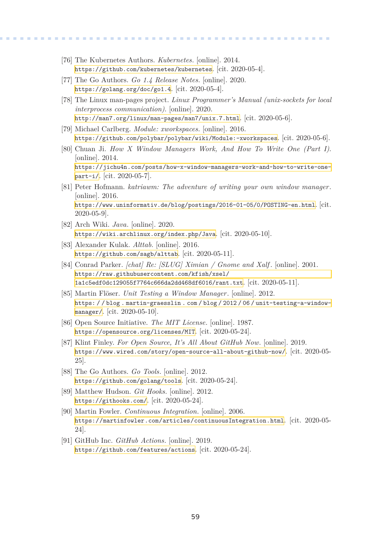<span id="page-66-0"></span>[76] The Kubernetes Authors. *Kubernetes*. [online]. 2014. <https://github.com/kubernetes/kubernetes>. [cit. 2020-05-4].

**.................................................**

- <span id="page-66-1"></span>[77] The Go Authors. *Go 1.4 Release Notes*. [online]. 2020. <https://golang.org/doc/go1.4>. [cit. 2020-05-4].
- <span id="page-66-2"></span>[78] The Linux man-pages project. *Linux Programmer's Manual (unix-sockets for local interprocess communication)*. [online]. 2020. <http://man7.org/linux/man-pages/man7/unix.7.html>. [cit. 2020-05-6].
- <span id="page-66-3"></span>[79] Michael Carlberg. *Module: xworkspaces*. [online]. 2016. <https://github.com/polybar/polybar/wiki/Module:-xworkspaces>. [cit. 2020-05-6].
- <span id="page-66-4"></span>[80] Chuan Ji. *How X Window Managers Work, And How To Write One (Part I)*. [online]. 2014. [https://jichu4n.com/posts/how-x-window-managers-work-and-how-to-write-one](https://jichu4n.com/posts/how-x-window-managers-work-and-how-to-write-one-part-i/)[part-i/](https://jichu4n.com/posts/how-x-window-managers-work-and-how-to-write-one-part-i/). [cit. 2020-05-7].
- <span id="page-66-5"></span>[81] Peter Hofmann. *katriawm: The adventure of writing your own window manager*. [online]. 2016. <https://www.uninformativ.de/blog/postings/2016-01-05/0/POSTING-en.html>. [cit. 2020-05-9].
- <span id="page-66-6"></span>[82] Arch Wiki. *Java*. [online]. 2020. <https://wiki.archlinux.org/index.php/Java>. [cit. 2020-05-10].
- <span id="page-66-7"></span>[83] Alexander Kulak. *Alttab*. [online]. 2016. <https://github.com/sagb/alttab>. [cit. 2020-05-11].
- <span id="page-66-8"></span>[84] Conrad Parker. *[chat] Re: [SLUG] Ximian / Gnome and Xalf* . [online]. 2001. [https://raw.githubusercontent.com/kfish/xsel/](https://raw.githubusercontent.com/kfish/xsel/1a1c5edf0dc129055f7764c666da2dd468df6016/rant.txt) [1a1c5edf0dc129055f7764c666da2dd468df6016/rant.txt](https://raw.githubusercontent.com/kfish/xsel/1a1c5edf0dc129055f7764c666da2dd468df6016/rant.txt). [cit. 2020-05-11].
- <span id="page-66-9"></span>[85] Martin Flöser. *Unit Testing a Window Manager*. [online]. 2012. [https: / / blog . martin-graesslin . com / blog / 2012 / 06 / unit-testing-a-window](https://blog.martin-graesslin.com/blog/2012/06/unit-testing-a-window-manager/)[manager/](https://blog.martin-graesslin.com/blog/2012/06/unit-testing-a-window-manager/). [cit. 2020-05-10].
- <span id="page-66-10"></span>[86] Open Source Initiative. *The MIT License*. [online]. 1987. <https://opensource.org/licenses/MIT>. [cit. 2020-05-24].
- <span id="page-66-11"></span>[87] Klint Finley. *For Open Source, It's All About GitHub Now*. [online]. 2019. <https://www.wired.com/story/open-source-all-about-github-now/>. [cit. 2020-05- 25].
- <span id="page-66-12"></span>[88] The Go Authors. *Go Tools*. [online]. 2012. <https://github.com/golang/tools>. [cit. 2020-05-24].
- <span id="page-66-13"></span>[89] Matthew Hudson. *Git Hooks*. [online]. 2012. <https://githooks.com/>. [cit. 2020-05-24].
- <span id="page-66-14"></span>[90] Martin Fowler. *Continuous Integration*. [online]. 2006. <https://martinfowler.com/articles/continuousIntegration.html>. [cit. 2020-05- 24].
- <span id="page-66-15"></span>[91] GitHub Inc. *GitHub Actions*. [online]. 2019. <https://github.com/features/actions>. [cit. 2020-05-24].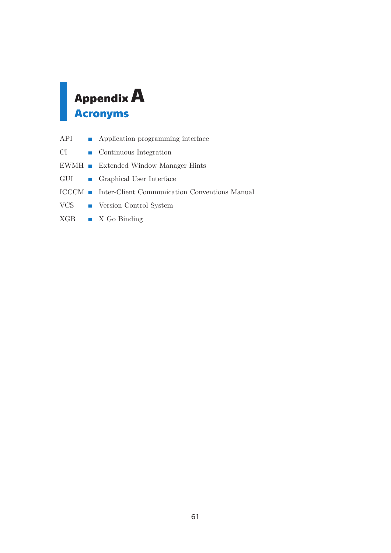# <span id="page-68-1"></span><span id="page-68-0"></span>**AppendixA Acronyms**

| API | • Application programming interface                        |
|-----|------------------------------------------------------------|
| CI  | $\blacksquare$ Continuous Integration                      |
|     | $EWMH$ Extended Window Manager Hints                       |
|     | GUI Graphical User Interface                               |
|     | <b>ICCCM</b> Inter-Client Communication Conventions Manual |
|     | VCS Version Control System                                 |
|     | $XGB$ $X$ Go Binding                                       |
|     |                                                            |